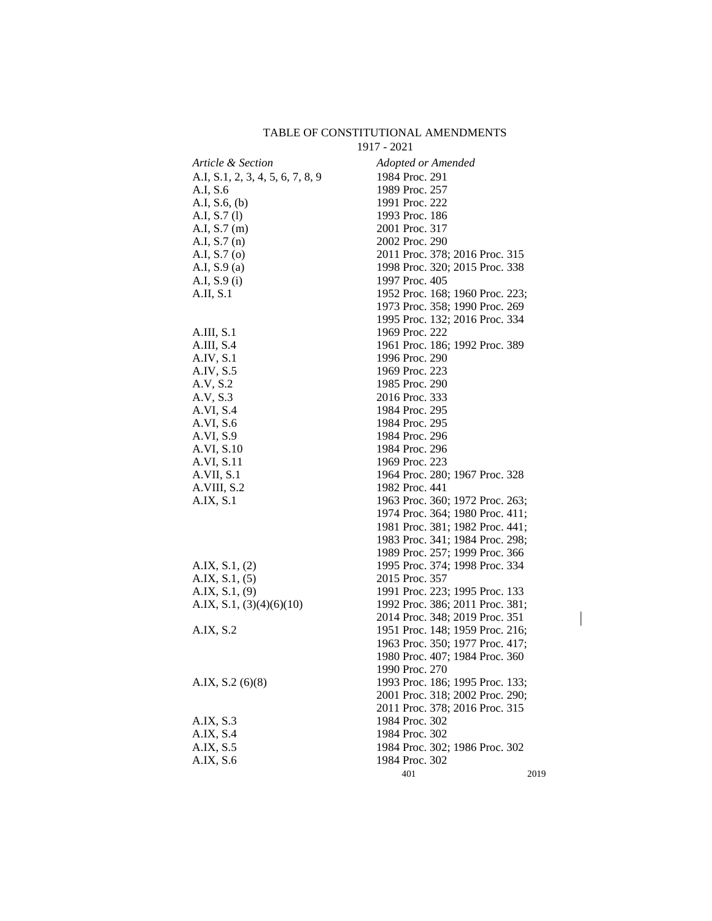# TABLE OF CONSTITUTIONAL AMENDMENTS

1917 - 2021

| Article & Section                | Adopted or Amended              |
|----------------------------------|---------------------------------|
| A.I, S.1, 2, 3, 4, 5, 6, 7, 8, 9 | 1984 Proc. 291                  |
| A.I, S.6                         | 1989 Proc. 257                  |
| A.I, $S.6$ , (b)                 | 1991 Proc. 222                  |
| A.I, S.7 (1)                     | 1993 Proc. 186                  |
| A.I, $S.7$ (m)                   | 2001 Proc. 317                  |
| A.I, $S.7(n)$                    | 2002 Proc. 290                  |
| A.I, $S.7$ (o)                   | 2011 Proc. 378; 2016 Proc. 315  |
| A.I, $S.9(a)$                    | 1998 Proc. 320; 2015 Proc. 338  |
| A.I, S.9 (i)                     | 1997 Proc. 405                  |
| A.II, S.1                        | 1952 Proc. 168; 1960 Proc. 223; |
|                                  | 1973 Proc. 358; 1990 Proc. 269  |
|                                  | 1995 Proc. 132; 2016 Proc. 334  |
| A.III, S.1                       | 1969 Proc. 222                  |
| A.III, S.4                       | 1961 Proc. 186; 1992 Proc. 389  |
| A.IV, S.1                        | 1996 Proc. 290                  |
| A.IV, S.5                        |                                 |
|                                  | 1969 Proc. 223                  |
| A.V, S.2                         | 1985 Proc. 290                  |
| A.V, S.3                         | 2016 Proc. 333                  |
| A.VI, S.4                        | 1984 Proc. 295                  |
| A.VI, S.6                        | 1984 Proc. 295                  |
| A.VI, S.9                        | 1984 Proc. 296                  |
| A.VI, S.10                       | 1984 Proc. 296                  |
| A.VI, S.11                       | 1969 Proc. 223                  |
| A.VII, S.1                       | 1964 Proc. 280; 1967 Proc. 328  |
| A.VIII, S.2                      | 1982 Proc. 441                  |
| A.IX, S.1                        | 1963 Proc. 360; 1972 Proc. 263; |
|                                  | 1974 Proc. 364; 1980 Proc. 411; |
|                                  | 1981 Proc. 381; 1982 Proc. 441; |
|                                  | 1983 Proc. 341; 1984 Proc. 298; |
|                                  | 1989 Proc. 257; 1999 Proc. 366  |
| A.IX, S.1, (2)                   | 1995 Proc. 374; 1998 Proc. 334  |
| A.IX, S.1, (5)                   | 2015 Proc. 357                  |
| A.IX, S.1, (9)                   | 1991 Proc. 223; 1995 Proc. 133  |
| A.IX, S.1, $(3)(4)(6)(10)$       | 1992 Proc. 386; 2011 Proc. 381; |
|                                  | 2014 Proc. 348; 2019 Proc. 351  |
| A.IX, S.2                        | 1951 Proc. 148; 1959 Proc. 216; |
|                                  | 1963 Proc. 350; 1977 Proc. 417; |
|                                  | 1980 Proc. 407; 1984 Proc. 360  |
|                                  | 1990 Proc. 270                  |
| A.IX, S.2 (6)(8)                 | 1993 Proc. 186; 1995 Proc. 133; |
|                                  | 2001 Proc. 318; 2002 Proc. 290; |
|                                  | 2011 Proc. 378; 2016 Proc. 315  |
| A.IX, S.3                        | 1984 Proc. 302                  |
| A.IX, S.4                        | 1984 Proc. 302                  |
| A.IX, S.5                        | 1984 Proc. 302; 1986 Proc. 302  |
| A.IX, S.6                        | 1984 Proc. 302                  |
|                                  | 401<br>2019                     |

 $\overline{\phantom{a}}$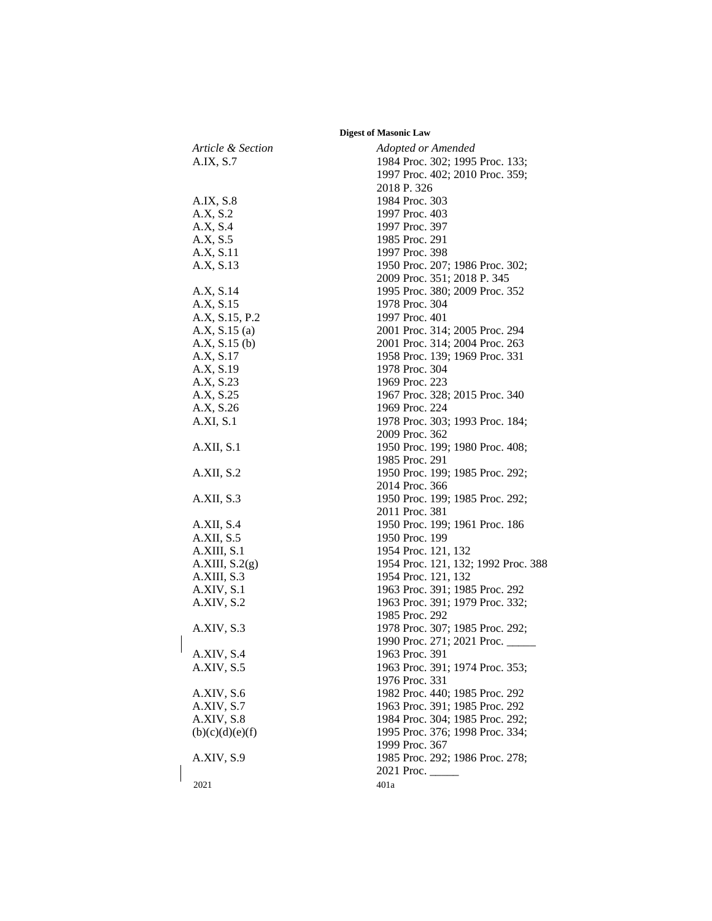|                          | <b>Digest of Masonic Law</b>                      |
|--------------------------|---------------------------------------------------|
| Article & Section        | Adopted or Amended                                |
| A.IX, S.7                | 1984 Proc. 302; 1995 Proc. 133;                   |
|                          | 1997 Proc. 402; 2010 Proc. 359;                   |
|                          | 2018 P. 326                                       |
| A.IX, S.8                | 1984 Proc. 303                                    |
| A.X, S.2                 | 1997 Proc. 403                                    |
| A.X, S.4                 | 1997 Proc. 397                                    |
| A.X, S.5                 | 1985 Proc. 291                                    |
| A.X, S.11                | 1997 Proc. 398                                    |
| A.X, S.13                | 1950 Proc. 207; 1986 Proc. 302;                   |
|                          | 2009 Proc. 351; 2018 P. 345                       |
| A.X, S.14                | 1995 Proc. 380; 2009 Proc. 352                    |
| A.X, S.15                | 1978 Proc. 304                                    |
| A.X, S.15, P.2           | 1997 Proc. 401                                    |
| A.X, S.15 (a)            | 2001 Proc. 314; 2005 Proc. 294                    |
| A.X, S.15(b)             | 2001 Proc. 314; 2004 Proc. 263                    |
| A.X, S.17                | 1958 Proc. 139; 1969 Proc. 331                    |
| A.X, S.19                | 1978 Proc. 304                                    |
| A.X, S.23                | 1969 Proc. 223                                    |
| A.X, S.25                | 1967 Proc. 328; 2015 Proc. 340                    |
| A.X, S.26                | 1969 Proc. 224                                    |
| A.XI, S.1                | 1978 Proc. 303; 1993 Proc. 184;                   |
|                          | 2009 Proc. 362                                    |
| A.XII, S.1               | 1950 Proc. 199; 1980 Proc. 408;                   |
|                          | 1985 Proc. 291                                    |
| A.XII, S.2               | 1950 Proc. 199; 1985 Proc. 292;                   |
|                          | 2014 Proc. 366                                    |
| A.XII, S.3               | 1950 Proc. 199; 1985 Proc. 292;                   |
|                          | 2011 Proc. 381                                    |
| A.XII, S.4               | 1950 Proc. 199; 1961 Proc. 186                    |
| A.XII, S.5               | 1950 Proc. 199                                    |
| A.XIII, S.1              | 1954 Proc. 121, 132                               |
| A.XIII, $S.2(g)$         | 1954 Proc. 121, 132; 1992 Proc. 388               |
| A.XIII, S.3              | 1954 Proc. 121, 132                               |
| A.XIV, S.1               | 1963 Proc. 391; 1985 Proc. 292                    |
| A.XIV, S.2               | 1963 Proc. 391; 1979 Proc. 332;                   |
|                          | 1985 Proc. 292                                    |
| A.XIV, S.3               | 1978 Proc. 307; 1985 Proc. 292;                   |
|                          | 1990 Proc. 271; 2021 Proc.                        |
| A.XIV, S.4<br>A.XIV, S.5 | 1963 Proc. 391<br>1963 Proc. 391; 1974 Proc. 353; |
|                          | 1976 Proc. 331                                    |
| A.XIV, S.6               | 1982 Proc. 440; 1985 Proc. 292                    |
| A.XIV, S.7               | 1963 Proc. 391; 1985 Proc. 292                    |
| A.XIV, S.8               | 1984 Proc. 304; 1985 Proc. 292;                   |
| (b)(c)(d)(e)(f)          | 1995 Proc. 376; 1998 Proc. 334;                   |
|                          | 1999 Proc. 367                                    |
| A.XIV, S.9               | 1985 Proc. 292; 1986 Proc. 278;                   |
|                          | 2021 Proc.                                        |
| 2021                     | 401a                                              |
|                          |                                                   |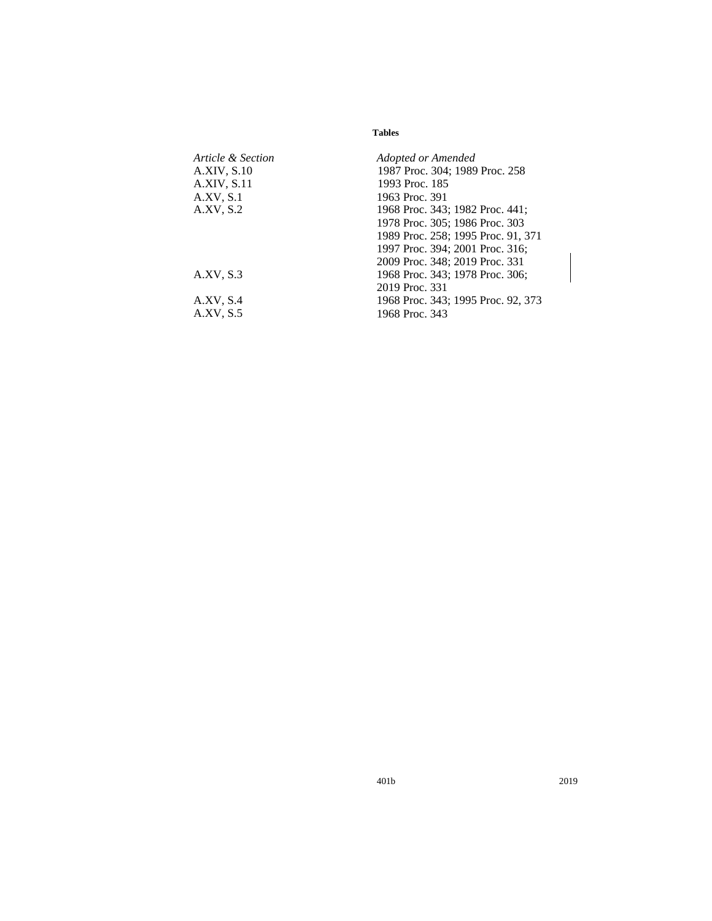| Article & Section  | Adopted or Amended                 |
|--------------------|------------------------------------|
| <b>A.XIV, S.10</b> | 1987 Proc. 304; 1989 Proc. 258     |
| <b>A.XIV, S.11</b> | 1993 Proc. 185                     |
| A.XV, S.1          | 1963 Proc. 391                     |
| A.XV, S.2          | 1968 Proc. 343; 1982 Proc. 441;    |
|                    | 1978 Proc. 305; 1986 Proc. 303     |
|                    | 1989 Proc. 258; 1995 Proc. 91, 371 |
|                    | 1997 Proc. 394; 2001 Proc. 316;    |
|                    | 2009 Proc. 348; 2019 Proc. 331     |
| A.XV, S.3          | 1968 Proc. 343; 1978 Proc. 306;    |
|                    | 2019 Proc. 331                     |
| A.XV, S.4          | 1968 Proc. 343; 1995 Proc. 92, 373 |
| A.XV, S.5          | 1968 Proc. 343                     |
|                    |                                    |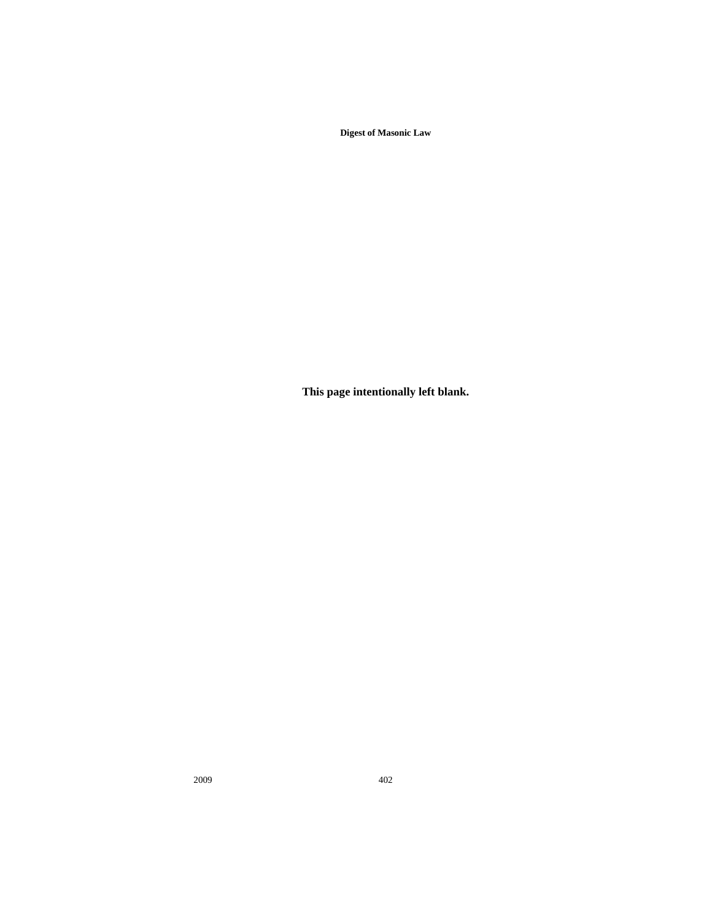**This page intentionally left blank.**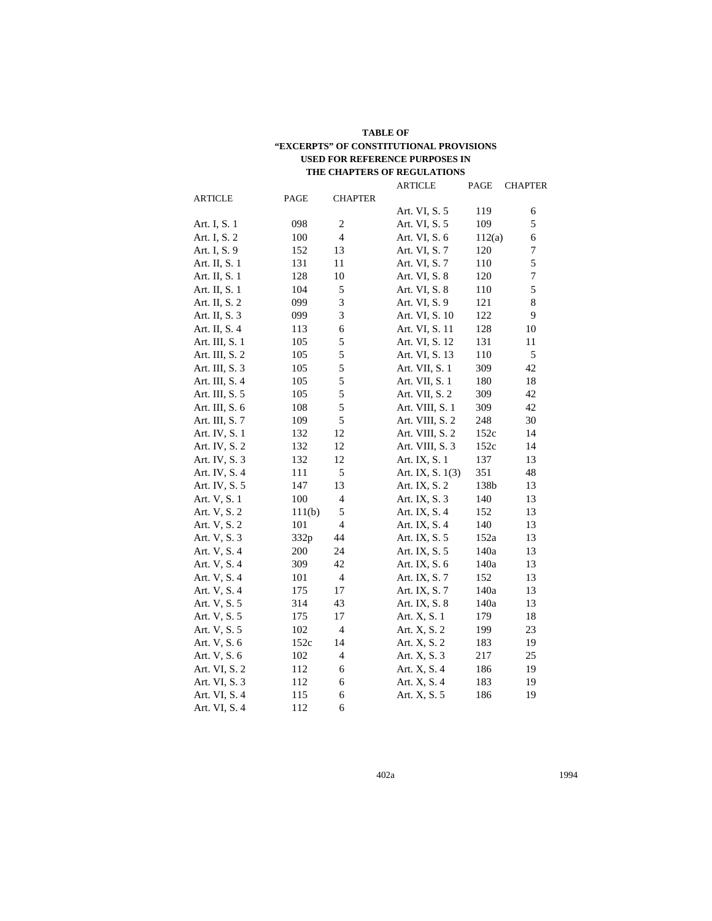### **TABLE OF "EXCERPTS" OF CONSTITUTIONAL PROVISIONS USED FOR REFERENCE PURPOSES IN THE CHAPTERS OF REGULATIONS**

|                  |        |                | ARTICLE          | PAGE   | CHAPTER |
|------------------|--------|----------------|------------------|--------|---------|
| <b>ARTICLE</b>   | PAGE   | <b>CHAPTER</b> |                  |        |         |
|                  |        |                | Art. VI, S. 5    | 119    | 6       |
| Art. I, S. 1     | 098    | 2              | Art. VI, S. 5    | 109    | 5       |
| Art. I, S. 2     | 100    | $\overline{4}$ | Art. VI, S. 6    | 112(a) | 6       |
| Art. I, S. 9     | 152    | 13             | Art. VI, S. 7    | 120    | 7       |
| Art. II, S. 1    | 131    | 11             | Art. VI, S. 7    | 110    | 5       |
| Art. II, S. 1    | 128    | 10             | Art. VI, S. 8    | 120    | 7       |
| Art. II, S. 1    | 104    | 5              | Art. VI, S. 8    | 110    | 5       |
| Art. II, S. 2    | 099    | 3              | Art. VI, S. 9    | 121    | 8       |
| Art. II, S. 3    | 099    | 3              | Art. VI, S. 10   | 122    | 9       |
| Art. II, $S.4$   | 113    | 6              | Art. VI, S. 11   | 128    | 10      |
| Art. III, $S.1$  | 105    | 5              | Art. VI, S. 12   | 131    | 11      |
| Art. III, $S. 2$ | 105    | 5              | Art. VI, S. 13   | 110    | 5       |
| Art. III, $S.3$  | 105    | 5              | Art. VII, S. 1   | 309    | 42      |
| Art. III, $S.4$  | 105    | 5              | Art. VII, S. 1   | 180    | 18      |
| Art. III, S. 5   | 105    | 5              | Art. VII, S. 2   | 309    | 42      |
| Art. III, $S. 6$ | 108    | 5              | Art. VIII, S. 1  | 309    | 42      |
| Art. III, S. 7   | 109    | 5              | Art. VIII, S. 2  | 248    | 30      |
| Art. IV, S. 1    | 132    | 12             | Art. VIII, S. 2  | 152c   | 14      |
| Art. IV, S. 2    | 132    | 12             | Art. VIII, S. 3  | 152c   | 14      |
| Art. IV, S. 3    | 132    | 12             | Art. IX, S. 1    | 137    | 13      |
| Art. IV, S. 4    | 111    | 5              | Art. IX, S. 1(3) | 351    | 48      |
| Art. IV, S. 5    | 147    | 13             | Art. IX, S. 2    | 138b   | 13      |
| Art. V, S. 1     | 100    | 4              | Art. IX, S. 3    | 140    | 13      |
| Art. V, S. 2     | 111(b) | 5              | Art. IX, S. 4    | 152    | 13      |
| Art. V, S. 2     | 101    | $\overline{4}$ | Art. IX, S. 4    | 140    | 13      |
| Art. V, S. 3     | 332p   | 44             | Art. IX, S. 5    | 152a   | 13      |
| Art. V, S. 4     | 200    | 24             | Art. IX, S. 5    | 140a   | 13      |
| Art. V, S. 4     | 309    | 42             | Art. IX, S. 6    | 140a   | 13      |
| Art. V, S. 4     | 101    | 4              | Art. IX, S. 7    | 152    | 13      |
| Art. V, S. 4     | 175    | 17             | Art. IX, S. 7    | 140a   | 13      |
| Art. V, S. 5     | 314    | 43             | Art. IX, S. 8    | 140a   | 13      |
| Art. V, S. 5     | 175    | 17             | Art. X, S. 1     | 179    | 18      |
| Art. V, S. 5     | 102    | $\overline{4}$ | Art. X, S. 2     | 199    | 23      |
| Art. V, S. 6     | 152c   | 14             | Art. X, S. 2     | 183    | 19      |
| Art. V, S. 6     | 102    | 4              | Art. X, S. 3     | 217    | 25      |
| Art. VI, S. 2    | 112    | 6              | Art. X, S. 4     | 186    | 19      |
| Art. VI, S. 3    | 112    | 6              | Art. X, S. 4     | 183    | 19      |
| Art. VI, S. 4    | 115    | 6              | Art. X, S. 5     | 186    | 19      |
| Art. VI, S. 4    | 112    | 6              |                  |        |         |
|                  |        |                |                  |        |         |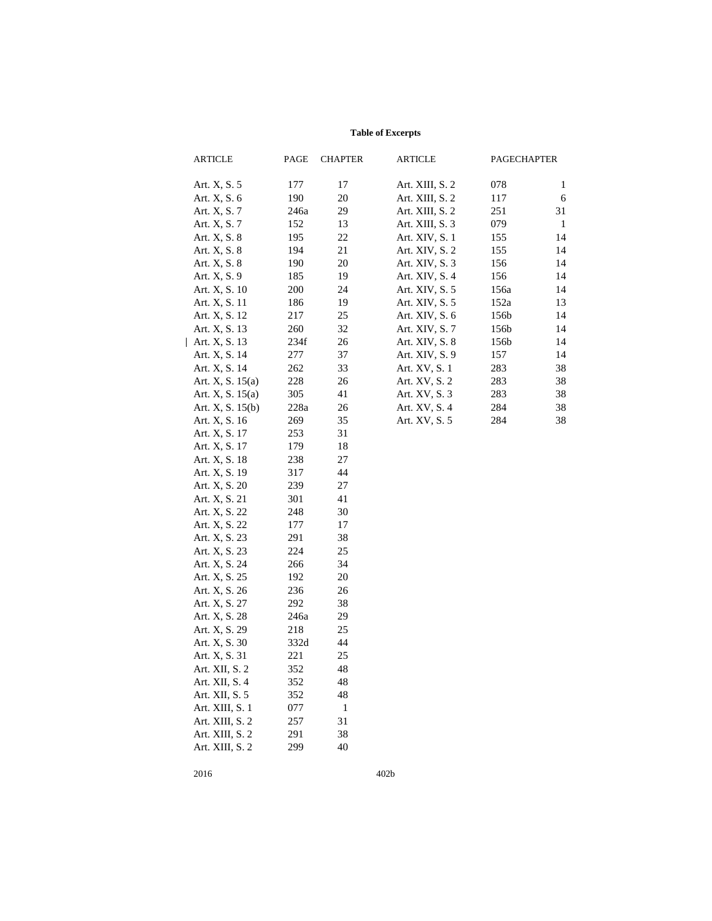# **Table of Excerpts**

| ARTICLE          | PAGE | <b>CHAPTER</b> | ARTICLE         | PAGECHAPTER |    |
|------------------|------|----------------|-----------------|-------------|----|
| Art. X, S. 5     | 177  | 17             | Art. XIII, S. 2 | 078         | 1  |
| Art. X, S. 6     | 190  | 20             | Art. XIII, S. 2 | 117         | 6  |
| Art. X, S. 7     | 246a | 29             | Art. XIII, S. 2 | 251         | 31 |
| Art. X, S. 7     | 152  | 13             | Art. XIII, S. 3 | 079         | 1  |
| Art. X, S. 8     | 195  | 22             | Art. XIV, S. 1  | 155         | 14 |
| Art. X, S. 8     | 194  | 21             | Art. XIV, S. 2  | 155         | 14 |
| Art. X, S. 8     | 190  | 20             | Art. XIV, S. 3  | 156         | 14 |
| Art. X, S. 9     | 185  | 19             | Art. XIV, S. 4  | 156         | 14 |
| Art. X, S. 10    | 200  | 24             | Art. XIV, S. 5  | 156a        | 14 |
| Art. X, S. 11    | 186  | 19             | Art. XIV, S. 5  | 152a        | 13 |
| Art. X, S. 12    | 217  | 25             | Art. XIV, S. 6  | 156b        | 14 |
| Art. X, S. 13    | 260  | 32             | Art. XIV, S. 7  | 156b        | 14 |
| Art. X, S. 13    | 234f | 26             | Art. XIV, S. 8  | 156b        | 14 |
| Art. X, S. 14    | 277  | 37             | Art. XIV, S. 9  | 157         | 14 |
| Art. X, S. 14    | 262  | 33             | Art. XV, S. 1   | 283         | 38 |
| Art. X, S. 15(a) | 228  | 26             | Art. XV, S. 2   | 283         | 38 |
| Art. X, S. 15(a) | 305  | 41             | Art. XV, S. 3   | 283         | 38 |
| Art. X, S. 15(b) | 228a | 26             | Art. XV, S. 4   | 284         | 38 |
| Art. X, S. 16    | 269  | 35             | Art. XV, S. 5   | 284         | 38 |
| Art. X, S. 17    | 253  | 31             |                 |             |    |
| Art. X, S. 17    | 179  | 18             |                 |             |    |
| Art. X, S. 18    | 238  | 27             |                 |             |    |
| Art. X, S. 19    | 317  | 44             |                 |             |    |
| Art. X, S. 20    | 239  | 27             |                 |             |    |
| Art. X, S. 21    | 301  | 41             |                 |             |    |
| Art. X, S. 22    | 248  | 30             |                 |             |    |
| Art. X, S. 22    | 177  | 17             |                 |             |    |
| Art. X, S. 23    | 291  | 38             |                 |             |    |
| Art. X, S. 23    | 224  | 25             |                 |             |    |
| Art. X, S. 24    | 266  | 34             |                 |             |    |
| Art. X, S. 25    | 192  | 20             |                 |             |    |
| Art. X, S. 26    | 236  | 26             |                 |             |    |
| Art. X, S. 27    | 292  | 38             |                 |             |    |
| Art. X, S. 28    | 246a | 29             |                 |             |    |
| Art. X, S. 29    | 218  | 25             |                 |             |    |
| Art. X, S. 30    | 332d | 44             |                 |             |    |
| Art. X, S. 31    | 221  | 25             |                 |             |    |
| Art. XII, S. 2   | 352  | 48             |                 |             |    |
| Art. XII, S. 4   | 352  | 48             |                 |             |    |
| Art. XII, S. 5   | 352  | 48             |                 |             |    |
| Art. XIII, S. 1  | 077  | 1              |                 |             |    |
| Art. XIII, S. 2  | 257  | 31             |                 |             |    |
| Art. XIII, S. 2  | 291  | 38             |                 |             |    |
| Art. XIII, S. 2  | 299  | 40             |                 |             |    |

2016 402b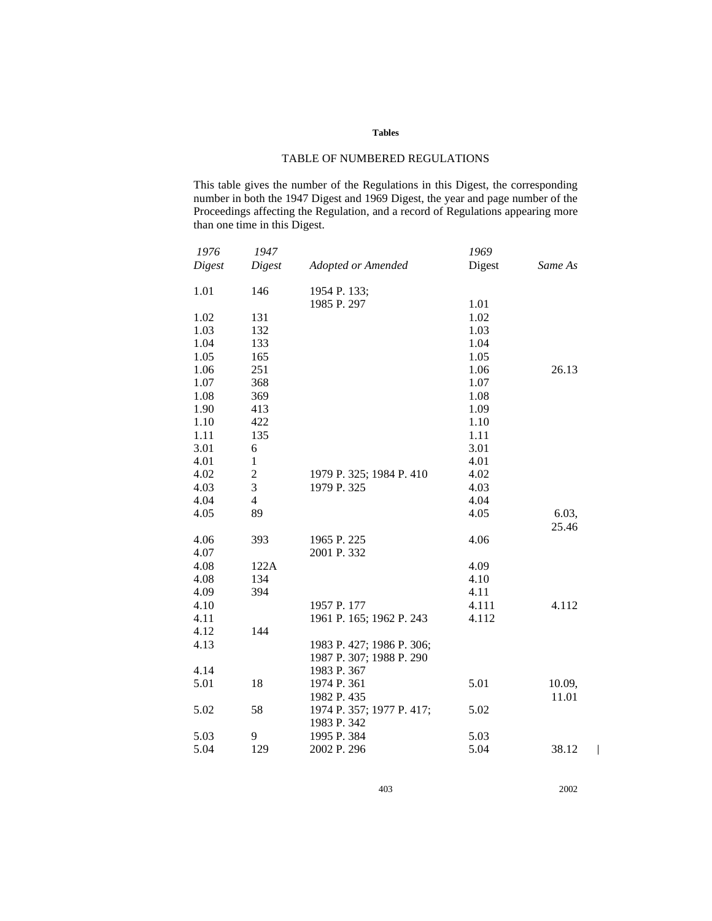## TABLE OF NUMBERED REGULATIONS

This table gives the number of the Regulations in this Digest, the corresponding number in both the 1947 Digest and 1969 Digest, the year and page number of the Proceedings affecting the Regulation, and a record of Regulations appearing more than one time in this Digest.

| 1976     | 1947           |                           | 1969   |         |
|----------|----------------|---------------------------|--------|---------|
| Digest   | Digest         | Adopted or Amended        | Digest | Same As |
| 1.01     | 146            | 1954 P. 133;              |        |         |
|          |                | 1985 P. 297               | 1.01   |         |
| 1.02     | 131            |                           | 1.02   |         |
| 1.03     | 132            |                           | 1.03   |         |
| 1.04     | 133            |                           | 1.04   |         |
| 1.05     | 165            |                           | 1.05   |         |
| 1.06     | 251            |                           | 1.06   | 26.13   |
| $1.07\,$ | 368            |                           | 1.07   |         |
| 1.08     | 369            |                           | 1.08   |         |
| 1.90     | 413            |                           | 1.09   |         |
| 1.10     | 422            |                           | 1.10   |         |
| 1.11     | 135            |                           | 1.11   |         |
| 3.01     | 6              |                           | 3.01   |         |
| 4.01     | $\mathbf{1}$   |                           | 4.01   |         |
| 4.02     | $\overline{c}$ | 1979 P. 325; 1984 P. 410  | 4.02   |         |
| 4.03     | 3              | 1979 P. 325               | 4.03   |         |
| 4.04     | $\overline{4}$ |                           | 4.04   |         |
| 4.05     | 89             |                           | 4.05   | 6.03,   |
|          |                |                           |        | 25.46   |
| 4.06     | 393            | 1965 P. 225               | 4.06   |         |
| 4.07     |                | 2001 P. 332               |        |         |
| 4.08     | 122A           |                           | 4.09   |         |
| 4.08     | 134            |                           | 4.10   |         |
| 4.09     | 394            |                           | 4.11   |         |
| 4.10     |                | 1957 P. 177               | 4.111  | 4.112   |
| 4.11     |                | 1961 P. 165; 1962 P. 243  | 4.112  |         |
| 4.12     | 144            |                           |        |         |
| 4.13     |                | 1983 P. 427; 1986 P. 306; |        |         |
|          |                | 1987 P. 307; 1988 P. 290  |        |         |
| 4.14     |                | 1983 P. 367               |        |         |
| 5.01     | 18             | 1974 P. 361               | 5.01   | 10.09,  |
|          |                | 1982 P. 435               |        | 11.01   |
| 5.02     | 58             | 1974 P. 357; 1977 P. 417; | 5.02   |         |
|          |                | 1983 P. 342               |        |         |
| 5.03     | 9              | 1995 P. 384               | 5.03   |         |
| 5.04     | 129            | 2002 P. 296               | 5.04   | 38.12   |

403 2002

 $\overline{1}$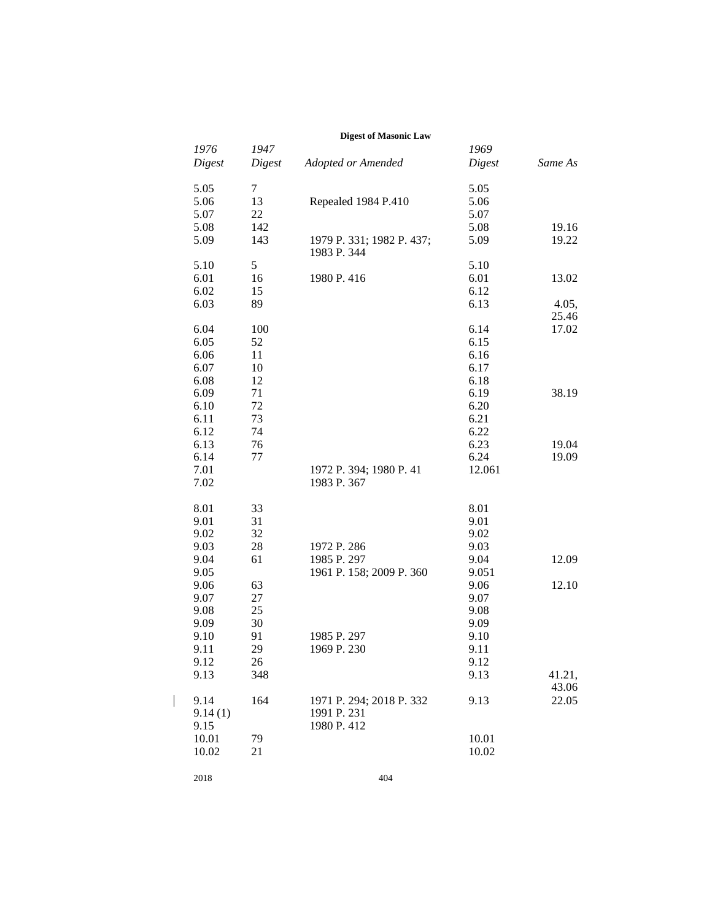|                 | <b>Digest of Masonic Law</b> |                                          |        |         |  |  |
|-----------------|------------------------------|------------------------------------------|--------|---------|--|--|
| 1976            | 1947                         |                                          | 1969   |         |  |  |
| Digest          | Digest                       | Adopted or Amended                       | Digest | Same As |  |  |
| 5.05            | 7                            |                                          | 5.05   |         |  |  |
| 5.06            | 13                           | Repealed 1984 P.410                      | 5.06   |         |  |  |
| 5.07            | 22                           |                                          | 5.07   |         |  |  |
| 5.08            | 142                          |                                          | 5.08   | 19.16   |  |  |
| 5.09            | 143                          | 1979 P. 331; 1982 P. 437;<br>1983 P. 344 | 5.09   | 19.22   |  |  |
| 5.10            | 5                            |                                          | 5.10   |         |  |  |
| 6.01            | 16                           | 1980 P.416                               | 6.01   | 13.02   |  |  |
| 6.02            | 15                           |                                          | 6.12   |         |  |  |
| 6.03            | 89                           |                                          | 6.13   | 4.05,   |  |  |
|                 |                              |                                          |        | 25.46   |  |  |
| 6.04            | 100                          |                                          | 6.14   | 17.02   |  |  |
| 6.05            | 52                           |                                          | 6.15   |         |  |  |
| 6.06            | 11                           |                                          | 6.16   |         |  |  |
| 6.07            | 10                           |                                          | 6.17   |         |  |  |
| 6.08            | 12                           |                                          | 6.18   |         |  |  |
| 6.09            | 71                           |                                          | 6.19   | 38.19   |  |  |
| 6.10            | 72                           |                                          | 6.20   |         |  |  |
| 6.11            | 73                           |                                          | 6.21   |         |  |  |
| 6.12            | 74                           |                                          | 6.22   |         |  |  |
| 6.13            | 76                           |                                          | 6.23   | 19.04   |  |  |
| 6.14            | 77                           |                                          | 6.24   | 19.09   |  |  |
| 7.01            |                              | 1972 P. 394; 1980 P. 41                  | 12.061 |         |  |  |
| 7.02            |                              | 1983 P. 367                              |        |         |  |  |
| 8.01            | 33                           |                                          | 8.01   |         |  |  |
| 9.01            | 31                           |                                          | 9.01   |         |  |  |
| 9.02            | 32                           |                                          | 9.02   |         |  |  |
| 9.03            | 28                           | 1972 P. 286                              | 9.03   |         |  |  |
| 9.04            | 61                           | 1985 P. 297                              | 9.04   | 12.09   |  |  |
| 9.05            |                              | 1961 P. 158; 2009 P. 360                 | 9.051  |         |  |  |
| 9.06            | 63                           |                                          | 9.06   | 12.10   |  |  |
| 9.07            | 27                           |                                          | 9.07   |         |  |  |
| 9.08            | 25                           |                                          | 9.08   |         |  |  |
| 9.09            | 30                           |                                          | 9.09   |         |  |  |
| 9.10            | 91                           | 1985 P. 297                              | 9.10   |         |  |  |
| 9.11            | 29                           | 1969 P. 230                              | 9.11   |         |  |  |
| 9.12            | 26                           |                                          | 9.12   |         |  |  |
| 9.13            | 348                          |                                          | 9.13   | 41.21,  |  |  |
|                 |                              |                                          |        | 43.06   |  |  |
| 9.14<br>9.14(1) | 164                          | 1971 P. 294; 2018 P. 332<br>1991 P. 231  | 9.13   | 22.05   |  |  |
| 9.15            |                              | 1980 P. 412                              |        |         |  |  |
| 10.01           | 79                           |                                          | 10.01  |         |  |  |
| 10.02           | 21                           |                                          | 10.02  |         |  |  |

2018 404

 $\overline{\mathbf{a}}$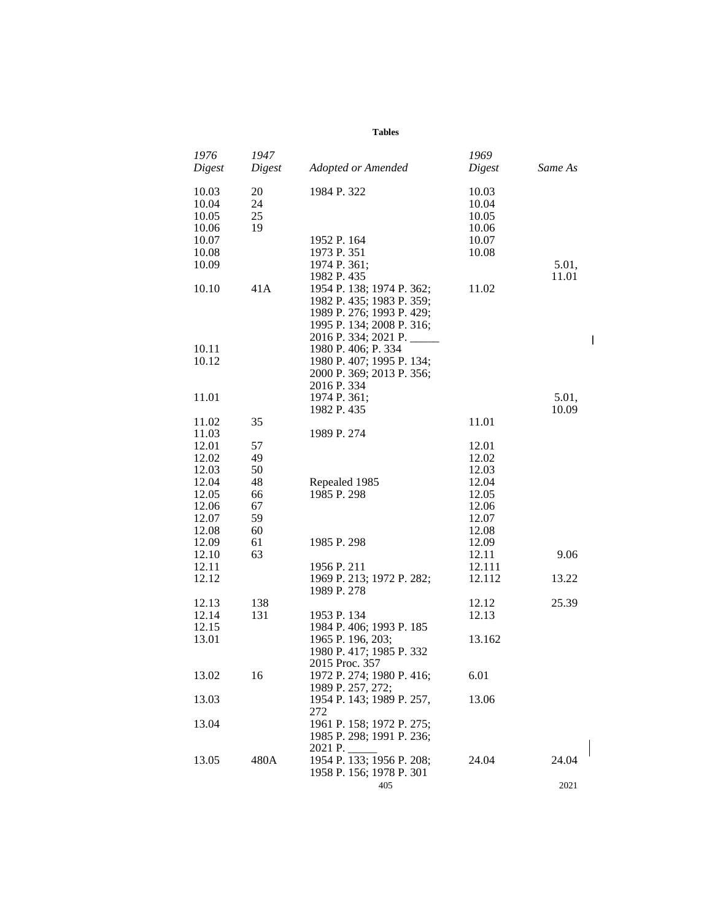| 1976<br>Digest                            | 1947<br>Digest       | Adopted or Amended                                                                                                                       | 1969<br>Digest                            | Same As        |
|-------------------------------------------|----------------------|------------------------------------------------------------------------------------------------------------------------------------------|-------------------------------------------|----------------|
| 10.03<br>10.04<br>10.05<br>10.06<br>10.07 | 20<br>24<br>25<br>19 | 1984 P. 322<br>1952 P. 164                                                                                                               | 10.03<br>10.04<br>10.05<br>10.06<br>10.07 |                |
| 10.08<br>10.09                            |                      | 1973 P. 351<br>1974 P. 361;<br>1982 P. 435                                                                                               | 10.08                                     | 5.01,<br>11.01 |
| 10.10                                     | 41A                  | 1954 P. 138; 1974 P. 362;<br>1982 P. 435; 1983 P. 359;<br>1989 P. 276; 1993 P. 429;<br>1995 P. 134; 2008 P. 316;<br>2016 P. 334; 2021 P. | 11.02                                     |                |
| 10.11<br>10.12                            |                      | 1980 P. 406; P. 334<br>1980 P. 407; 1995 P. 134;<br>2000 P. 369; 2013 P. 356;<br>2016 P. 334                                             |                                           | $\mathsf{l}$   |
| 11.01                                     |                      | 1974 P. 361;<br>1982 P.435                                                                                                               |                                           | 5.01,<br>10.09 |
| 11.02<br>11.03                            | 35                   | 1989 P. 274                                                                                                                              | 11.01                                     |                |
| 12.01                                     | 57                   |                                                                                                                                          | 12.01                                     |                |
| 12.02                                     | 49                   |                                                                                                                                          | 12.02                                     |                |
| 12.03                                     | 50                   |                                                                                                                                          | 12.03                                     |                |
| 12.04                                     | 48                   | Repealed 1985                                                                                                                            | 12.04                                     |                |
| 12.05                                     | 66                   | 1985 P. 298                                                                                                                              | 12.05                                     |                |
| 12.06                                     | 67                   |                                                                                                                                          | 12.06                                     |                |
| 12.07                                     | 59                   |                                                                                                                                          | 12.07                                     |                |
| 12.08                                     | 60                   |                                                                                                                                          | 12.08                                     |                |
| 12.09                                     | 61                   | 1985 P. 298                                                                                                                              | 12.09                                     |                |
| 12.10                                     | 63                   |                                                                                                                                          | 12.11                                     | 9.06           |
| 12.11                                     |                      | 1956 P. 211                                                                                                                              | 12.111                                    |                |
| 12.12                                     |                      | 1969 P. 213; 1972 P. 282;<br>1989 P. 278                                                                                                 | 12.112                                    | 13.22          |
| 12.13                                     | 138                  |                                                                                                                                          | 12.12                                     | 25.39          |
| 12.14                                     | 131                  | 1953 P. 134                                                                                                                              | 12.13                                     |                |
| 12.15                                     |                      | 1984 P. 406; 1993 P. 185                                                                                                                 |                                           |                |
| 13.01                                     |                      | 1965 P. 196, 203;<br>1980 P. 417; 1985 P. 332                                                                                            | 13.162                                    |                |
| 13.02                                     | 16                   | 2015 Proc. 357<br>1972 P. 274; 1980 P. 416;<br>1989 P. 257, 272;                                                                         | 6.01                                      |                |
| 13.03                                     |                      | 1954 P. 143; 1989 P. 257,<br>272                                                                                                         | 13.06                                     |                |
| 13.04                                     |                      | 1961 P. 158; 1972 P. 275;<br>1985 P. 298; 1991 P. 236;                                                                                   |                                           |                |
| 13.05                                     | 480A                 | 2021 P.<br>1954 P. 133; 1956 P. 208;<br>1958 P. 156; 1978 P. 301                                                                         | 24.04                                     | 24.04          |
|                                           |                      | 405                                                                                                                                      |                                           | 2021           |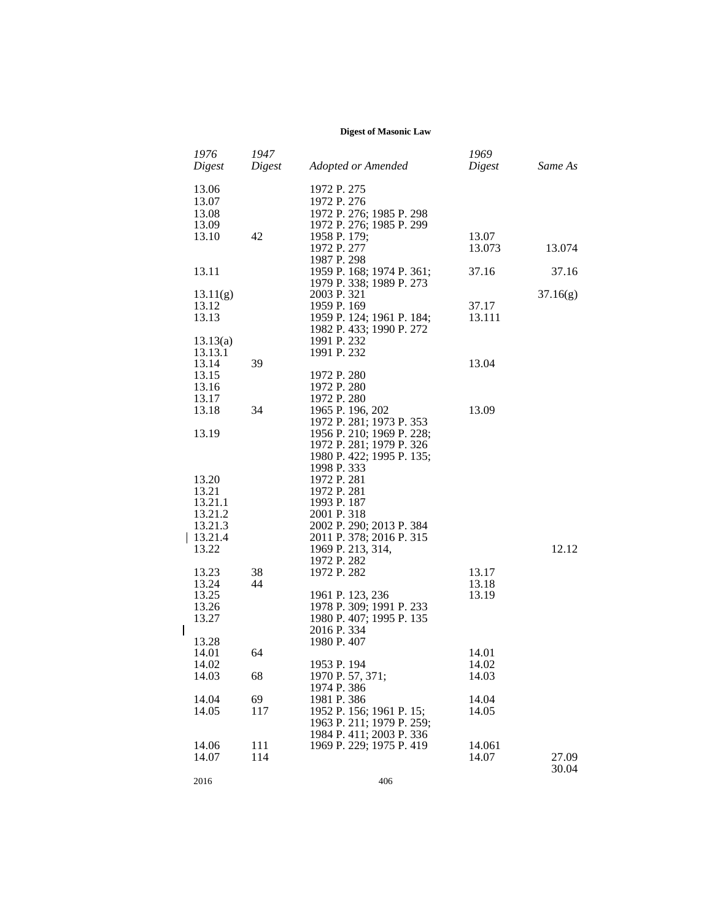|              | 1976     | 1947   |                           | 1969   |          |
|--------------|----------|--------|---------------------------|--------|----------|
|              | Digest   | Digest | Adopted or Amended        | Digest | Same As  |
|              | 13.06    |        | 1972 P. 275               |        |          |
|              | 13.07    |        | 1972 P. 276               |        |          |
|              | 13.08    |        | 1972 P. 276; 1985 P. 298  |        |          |
|              | 13.09    |        | 1972 P. 276; 1985 P. 299  |        |          |
|              | 13.10    | 42     | 1958 P. 179;              | 13.07  |          |
|              |          |        | 1972 P. 277               | 13.073 | 13.074   |
|              |          |        | 1987 P. 298               |        |          |
|              | 13.11    |        | 1959 P. 168; 1974 P. 361; | 37.16  | 37.16    |
|              |          |        | 1979 P. 338; 1989 P. 273  |        |          |
|              | 13.11(g) |        | 2003 P. 321               |        | 37.16(g) |
|              | 13.12    |        | 1959 P. 169               | 37.17  |          |
|              | 13.13    |        | 1959 P. 124; 1961 P. 184; | 13.111 |          |
|              |          |        | 1982 P. 433; 1990 P. 272  |        |          |
|              | 13.13(a) |        | 1991 P. 232               |        |          |
|              | 13.13.1  |        | 1991 P. 232               |        |          |
|              | 13.14    | 39     |                           | 13.04  |          |
|              | 13.15    |        | 1972 P. 280               |        |          |
|              | 13.16    |        | 1972 P. 280               |        |          |
|              | 13.17    |        | 1972 P. 280               |        |          |
|              | 13.18    | 34     | 1965 P. 196, 202          | 13.09  |          |
|              |          |        | 1972 P. 281; 1973 P. 353  |        |          |
|              | 13.19    |        | 1956 P. 210; 1969 P. 228; |        |          |
|              |          |        | 1972 P. 281; 1979 P. 326  |        |          |
|              |          |        | 1980 P. 422; 1995 P. 135; |        |          |
|              |          |        | 1998 P. 333               |        |          |
|              | 13.20    |        | 1972 P. 281               |        |          |
|              | 13.21    |        | 1972 P. 281               |        |          |
|              | 13.21.1  |        | 1993 P. 187               |        |          |
|              | 13.21.2  |        | 2001 P. 318               |        |          |
|              | 13.21.3  |        | 2002 P. 290; 2013 P. 384  |        |          |
|              | 13.21.4  |        | 2011 P. 378; 2016 P. 315  |        |          |
|              | 13.22    |        | 1969 P. 213, 314,         |        | 12.12    |
|              |          |        | 1972 P. 282               |        |          |
|              | 13.23    | 38     | 1972 P. 282               | 13.17  |          |
|              | 13.24    | 44     |                           | 13.18  |          |
|              | 13.25    |        | 1961 P. 123, 236          | 13.19  |          |
|              | 13.26    |        | 1978 P. 309; 1991 P. 233  |        |          |
|              | 13.27    |        | 1980 P. 407; 1995 P. 135  |        |          |
| $\mathsf{l}$ |          |        | 2016 P. 334               |        |          |
|              | 13.28    |        | 1980 P. 407               |        |          |
|              | 14.01    | 64     |                           | 14.01  |          |
|              | 14.02    |        | 1953 P. 194               | 14.02  |          |
|              | 14.03    | 68     | 1970 P. 57, 371;          | 14.03  |          |
|              |          |        | 1974 P. 386               |        |          |
|              | 14.04    | 69     | 1981 P. 386               | 14.04  |          |
|              | 14.05    | 117    | 1952 P. 156; 1961 P. 15;  | 14.05  |          |
|              |          |        | 1963 P. 211; 1979 P. 259; |        |          |
|              |          |        | 1984 P. 411; 2003 P. 336  |        |          |
|              | 14.06    | 111    | 1969 P. 229; 1975 P. 419  | 14.061 |          |
|              | 14.07    | 114    |                           | 14.07  | 27.09    |
|              |          |        |                           |        | 30.04    |
|              |          |        |                           |        |          |

2016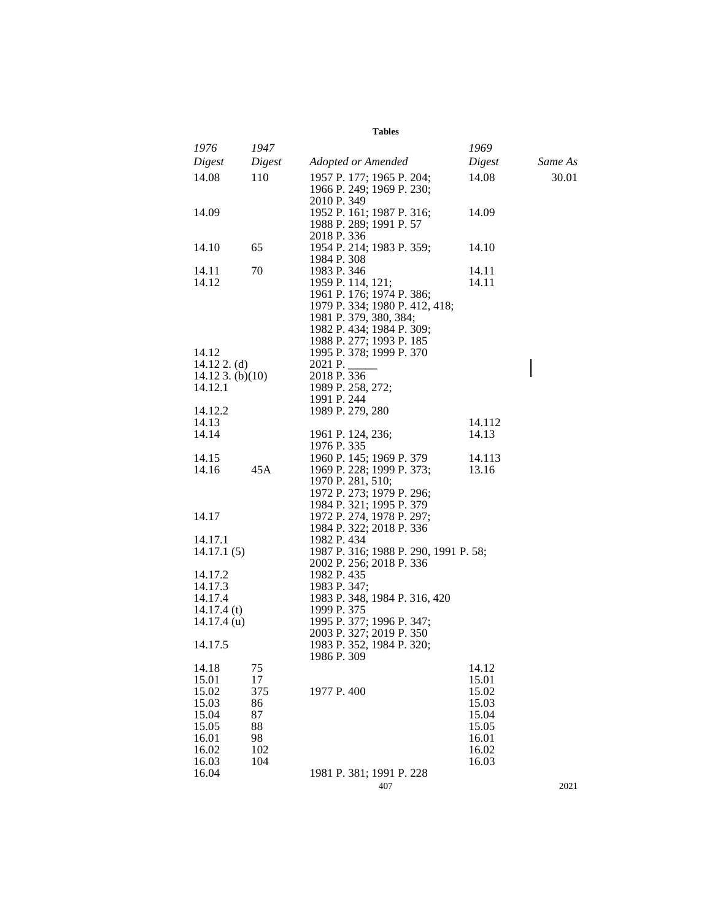|                     |            | <b>Tables</b>                                         |                |         |
|---------------------|------------|-------------------------------------------------------|----------------|---------|
| 1976                | 1947       |                                                       | 1969           |         |
| Digest              | Digest     | Adopted or Amended                                    | Digest         | Same As |
| 14.08               | 110        | 1957 P. 177; 1965 P. 204;                             | 14.08          | 30.01   |
|                     |            | 1966 P. 249; 1969 P. 230;                             |                |         |
|                     |            | 2010 P. 349                                           |                |         |
| 14.09               |            | 1952 P. 161; 1987 P. 316;                             | 14.09          |         |
|                     |            | 1988 P. 289; 1991 P. 57                               |                |         |
|                     |            | 2018 P. 336                                           |                |         |
| 14.10               | 65         | 1954 P. 214; 1983 P. 359;                             | 14.10          |         |
|                     |            | 1984 P. 308                                           |                |         |
| 14.11               | 70         | 1983 P. 346                                           | 14.11          |         |
| 14.12               |            | 1959 P. 114, 121;<br>1961 P. 176; 1974 P. 386;        | 14.11          |         |
|                     |            | 1979 P. 334; 1980 P. 412, 418;                        |                |         |
|                     |            | 1981 P. 379, 380, 384;                                |                |         |
|                     |            | 1982 P. 434; 1984 P. 309;                             |                |         |
|                     |            | 1988 P. 277; 1993 P. 185                              |                |         |
| 14.12               |            | 1995 P. 378; 1999 P. 370                              |                |         |
| 14.12 $2. (d)$      |            | 2021 P.                                               |                |         |
| 14.12 3. (b) $(10)$ |            | 2018 P. 336                                           |                |         |
| 14.12.1             |            | 1989 P. 258, 272;                                     |                |         |
|                     |            | 1991 P. 244                                           |                |         |
| 14.12.2<br>14.13    |            | 1989 P. 279, 280                                      | 14.112         |         |
| 14.14               |            | 1961 P. 124, 236;                                     | 14.13          |         |
|                     |            | 1976 P. 335                                           |                |         |
| 14.15               |            | 1960 P. 145; 1969 P. 379                              | 14.113         |         |
| 14.16               | 45A        | 1969 P. 228; 1999 P. 373;                             | 13.16          |         |
|                     |            | 1970 P. 281, 510;                                     |                |         |
|                     |            | 1972 P. 273; 1979 P. 296;                             |                |         |
|                     |            | 1984 P. 321; 1995 P. 379                              |                |         |
| 14.17               |            | 1972 P. 274, 1978 P. 297;<br>1984 P. 322; 2018 P. 336 |                |         |
| 14.17.1             |            | 1982 P. 434                                           |                |         |
| 14.17.1(5)          |            | 1987 P. 316; 1988 P. 290, 1991 P. 58;                 |                |         |
|                     |            | 2002 P. 256; 2018 P. 336                              |                |         |
| 14.17.2             |            | 1982 P.435                                            |                |         |
| 14.17.3             |            | 1983 P. 347;                                          |                |         |
| 14.17.4             |            | 1983 P. 348, 1984 P. 316, 420                         |                |         |
| 14.17.4(t)          |            | 1999 P. 375                                           |                |         |
| $14.17.4 \; (u)$    |            | 1995 P. 377; 1996 P. 347;                             |                |         |
| 14.17.5             |            | 2003 P. 327; 2019 P. 350<br>1983 P. 352, 1984 P. 320; |                |         |
|                     |            | 1986 P. 309                                           |                |         |
| 14.18               | 75         |                                                       | 14.12          |         |
| 15.01               | 17         |                                                       | 15.01          |         |
| 15.02               | 375        | 1977 P.400                                            | 15.02          |         |
| 15.03               | 86         |                                                       | 15.03          |         |
| 15.04               | 87         |                                                       | 15.04          |         |
| 15.05               | 88         |                                                       | 15.05          |         |
| 16.01               | 98         |                                                       | 16.01          |         |
| 16.02<br>16.03      | 102<br>104 |                                                       | 16.02<br>16.03 |         |
| 16.04               |            | 1981 P. 381; 1991 P. 228                              |                |         |
|                     |            | 407                                                   |                | 2021    |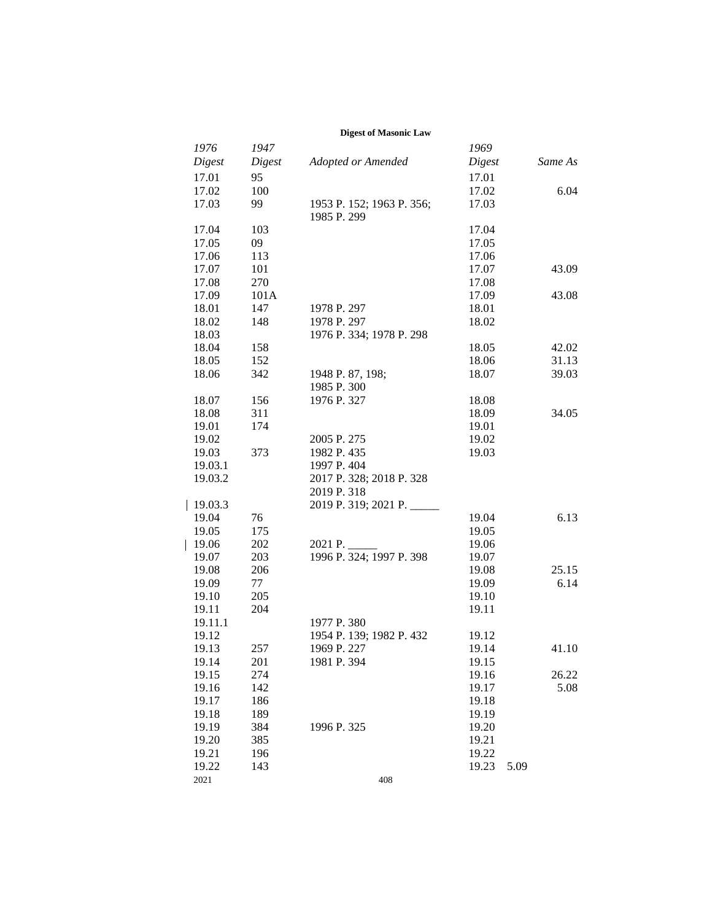|           | <b>Digest of Masonic Law</b> |                           |        |      |         |  |
|-----------|------------------------------|---------------------------|--------|------|---------|--|
| 1976      | 1947                         |                           | 1969   |      |         |  |
| Digest    | <b>Digest</b>                | Adopted or Amended        | Digest |      | Same As |  |
| 17.01     | 95                           |                           | 17.01  |      |         |  |
| 17.02     | 100                          |                           | 17.02  |      | 6.04    |  |
| 17.03     | 99                           | 1953 P. 152; 1963 P. 356; | 17.03  |      |         |  |
|           |                              | 1985 P. 299               |        |      |         |  |
| 17.04     | 103                          |                           | 17.04  |      |         |  |
| 17.05     | 09                           |                           | 17.05  |      |         |  |
| 17.06     | 113                          |                           | 17.06  |      |         |  |
| 17.07     | 101                          |                           | 17.07  |      | 43.09   |  |
| 17.08     | 270                          |                           | 17.08  |      |         |  |
| 17.09     | 101A                         |                           | 17.09  |      | 43.08   |  |
| 18.01     | 147                          | 1978 P. 297               | 18.01  |      |         |  |
| 18.02     | 148                          | 1978 P. 297               | 18.02  |      |         |  |
| 18.03     |                              | 1976 P. 334; 1978 P. 298  |        |      |         |  |
| 18.04     | 158                          |                           | 18.05  |      | 42.02   |  |
| 18.05     | 152                          |                           | 18.06  |      | 31.13   |  |
| 18.06     | 342                          | 1948 P. 87, 198;          | 18.07  |      | 39.03   |  |
|           |                              | 1985 P.300                |        |      |         |  |
| 18.07     | 156                          | 1976 P. 327               | 18.08  |      |         |  |
| 18.08     | 311                          |                           | 18.09  |      | 34.05   |  |
| 19.01     | 174                          |                           | 19.01  |      |         |  |
| 19.02     |                              | 2005 P. 275               | 19.02  |      |         |  |
| 19.03     | 373                          | 1982 P. 435               | 19.03  |      |         |  |
| 19.03.1   |                              | 1997 P. 404               |        |      |         |  |
| 19.03.2   |                              | 2017 P. 328; 2018 P. 328  |        |      |         |  |
|           |                              | 2019 P. 318               |        |      |         |  |
| $19.03.3$ |                              | 2019 P. 319; 2021 P.      |        |      |         |  |
| 19.04     | 76                           |                           | 19.04  |      | 6.13    |  |
| 19.05     | 175                          |                           | 19.05  |      |         |  |
| 19.06     | 202                          | $2021$ P.                 | 19.06  |      |         |  |
| 19.07     | 203                          | 1996 P. 324; 1997 P. 398  | 19.07  |      |         |  |
| 19.08     | 206                          |                           | 19.08  |      | 25.15   |  |
| 19.09     | 77                           |                           | 19.09  |      | 6.14    |  |
| 19.10     | 205                          |                           | 19.10  |      |         |  |
| 19.11     | 204                          |                           | 19.11  |      |         |  |
| 19.11.1   |                              | 1977 P. 380               |        |      |         |  |
| 19.12     |                              | 1954 P. 139; 1982 P. 432  | 19.12  |      |         |  |
| 19.13     | 257                          | 1969 P. 227               | 19.14  |      | 41.10   |  |
| 19.14     | 201                          | 1981 P. 394               | 19.15  |      |         |  |
| 19.15     | 274                          |                           | 19.16  |      | 26.22   |  |
| 19.16     | 142                          |                           | 19.17  |      | 5.08    |  |
| 19.17     | 186                          |                           | 19.18  |      |         |  |
| 19.18     | 189                          |                           | 19.19  |      |         |  |
| 19.19     | 384                          | 1996 P. 325               | 19.20  |      |         |  |
| 19.20     | 385                          |                           | 19.21  |      |         |  |
| 19.21     | 196                          |                           | 19.22  |      |         |  |
| 19.22     | 143                          |                           | 19.23  | 5.09 |         |  |
| 2021      |                              | 408                       |        |      |         |  |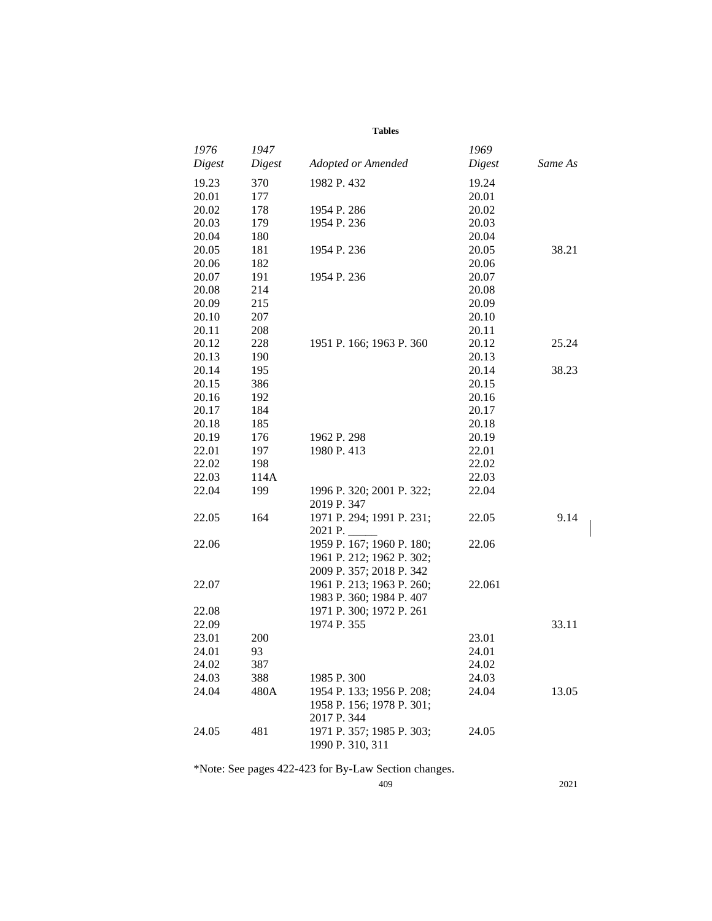|        | <b>Tables</b> |                           |        |         |  |  |
|--------|---------------|---------------------------|--------|---------|--|--|
| 1976   | 1947          |                           | 1969   |         |  |  |
| Digest | Digest        | Adopted or Amended        | Digest | Same As |  |  |
| 19.23  | 370           | 1982 P. 432               | 19.24  |         |  |  |
| 20.01  | 177           |                           | 20.01  |         |  |  |
| 20.02  | 178           | 1954 P. 286               | 20.02  |         |  |  |
| 20.03  | 179           | 1954 P. 236               | 20.03  |         |  |  |
| 20.04  | 180           |                           | 20.04  |         |  |  |
| 20.05  | 181           | 1954 P. 236               | 20.05  | 38.21   |  |  |
| 20.06  | 182           |                           | 20.06  |         |  |  |
| 20.07  | 191           | 1954 P. 236               | 20.07  |         |  |  |
| 20.08  | 214           |                           | 20.08  |         |  |  |
| 20.09  | 215           |                           | 20.09  |         |  |  |
| 20.10  | 207           |                           | 20.10  |         |  |  |
| 20.11  | 208           |                           | 20.11  |         |  |  |
| 20.12  | 228           | 1951 P. 166; 1963 P. 360  | 20.12  | 25.24   |  |  |
| 20.13  | 190           |                           | 20.13  |         |  |  |
| 20.14  | 195           |                           | 20.14  | 38.23   |  |  |
| 20.15  | 386           |                           | 20.15  |         |  |  |
| 20.16  | 192           |                           | 20.16  |         |  |  |
| 20.17  | 184           |                           | 20.17  |         |  |  |
| 20.18  | 185           |                           | 20.18  |         |  |  |
| 20.19  | 176           | 1962 P. 298               | 20.19  |         |  |  |
| 22.01  | 197           | 1980 P. 413               | 22.01  |         |  |  |
| 22.02  | 198           |                           | 22.02  |         |  |  |
| 22.03  | 114A          |                           | 22.03  |         |  |  |
| 22.04  | 199           | 1996 P. 320; 2001 P. 322; | 22.04  |         |  |  |
|        |               | 2019 P. 347               |        |         |  |  |
| 22.05  | 164           | 1971 P. 294; 1991 P. 231; | 22.05  | 9.14    |  |  |
|        |               | $2021$ P.                 |        |         |  |  |
| 22.06  |               | 1959 P. 167; 1960 P. 180; | 22.06  |         |  |  |
|        |               | 1961 P. 212; 1962 P. 302; |        |         |  |  |
|        |               | 2009 P. 357; 2018 P. 342  |        |         |  |  |
| 22.07  |               | 1961 P. 213; 1963 P. 260; | 22.061 |         |  |  |
|        |               | 1983 P. 360; 1984 P. 407  |        |         |  |  |
| 22.08  |               | 1971 P. 300; 1972 P. 261  |        |         |  |  |
| 22.09  |               | 1974 P. 355               |        | 33.11   |  |  |
| 23.01  | 200           |                           | 23.01  |         |  |  |
| 24.01  | 93            |                           | 24.01  |         |  |  |
| 24.02  | 387           |                           | 24.02  |         |  |  |
| 24.03  | 388           | 1985 P.300                | 24.03  |         |  |  |
| 24.04  | 480A          | 1954 P. 133; 1956 P. 208; | 24.04  | 13.05   |  |  |
|        |               | 1958 P. 156; 1978 P. 301; |        |         |  |  |
|        |               | 2017 P. 344               |        |         |  |  |
| 24.05  | 481           | 1971 P. 357; 1985 P. 303; | 24.05  |         |  |  |
|        |               | 1990 P. 310, 311          |        |         |  |  |

\*Note: See pages 422-423 for By-Law Section changes.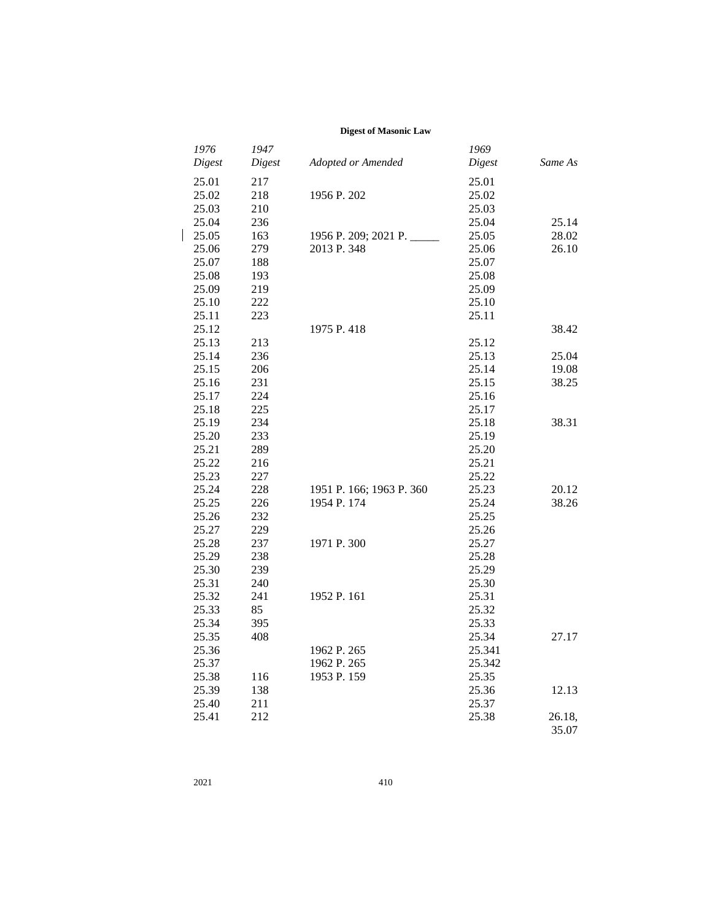| 1976<br>Digest                    | 1947<br>Digest | Adopted or Amended       | 1969<br>Digest | Same As |
|-----------------------------------|----------------|--------------------------|----------------|---------|
|                                   |                |                          |                |         |
| 25.01                             | 217            |                          | 25.01          |         |
| 25.02                             | 218            | 1956 P. 202              | 25.02          |         |
| 25.03                             | 210            |                          | 25.03          |         |
| 25.04                             | 236            |                          | 25.04          | 25.14   |
| $\overline{\phantom{a}}$<br>25.05 | 163            | 1956 P. 209; 2021 P.     | 25.05          | 28.02   |
| 25.06                             | 279            | 2013 P. 348              | 25.06          | 26.10   |
| 25.07                             | 188            |                          | 25.07          |         |
| 25.08                             | 193            |                          | 25.08          |         |
| 25.09                             | 219            |                          | 25.09          |         |
| 25.10                             | 222            |                          | 25.10          |         |
| 25.11                             | 223            |                          | 25.11          |         |
| 25.12                             |                | 1975 P. 418              |                | 38.42   |
| 25.13                             | 213            |                          | 25.12          |         |
| 25.14                             | 236            |                          | 25.13          | 25.04   |
| 25.15                             | 206            |                          | 25.14          | 19.08   |
| 25.16                             | 231            |                          | 25.15          | 38.25   |
| 25.17                             | 224            |                          | 25.16          |         |
| 25.18                             | 225            |                          | 25.17          |         |
| 25.19                             | 234            |                          | 25.18          | 38.31   |
| 25.20                             | 233            |                          | 25.19          |         |
| 25.21                             | 289            |                          | 25.20          |         |
| 25.22                             | 216            |                          | 25.21          |         |
| 25.23                             | 227            |                          | 25.22          |         |
| 25.24                             | 228            | 1951 P. 166; 1963 P. 360 | 25.23          | 20.12   |
| 25.25                             | 226            | 1954 P. 174              | 25.24          | 38.26   |
| 25.26                             | 232            |                          | 25.25          |         |
| 25.27                             | 229            |                          | 25.26          |         |
| 25.28                             | 237            | 1971 P.300               | 25.27          |         |
| 25.29                             | 238            |                          | 25.28          |         |
| 25.30                             | 239            |                          | 25.29          |         |
| 25.31                             | 240            |                          | 25.30          |         |
| 25.32                             | 241            | 1952 P. 161              | 25.31          |         |
| 25.33                             | 85             |                          | 25.32          |         |
| 25.34                             | 395            |                          | 25.33          |         |
| 25.35                             | 408            |                          | 25.34          | 27.17   |
| 25.36                             |                | 1962 P. 265              | 25.341         |         |
| 25.37                             |                | 1962 P. 265              | 25.342         |         |
| 25.38                             | 116            | 1953 P. 159              | 25.35          |         |
| 25.39                             | 138            |                          | 25.36          | 12.13   |
| 25.40                             | 211            |                          | 25.37          |         |
| 25.41                             | 212            |                          | 25.38          | 26.18,  |
|                                   |                |                          |                | 35.07   |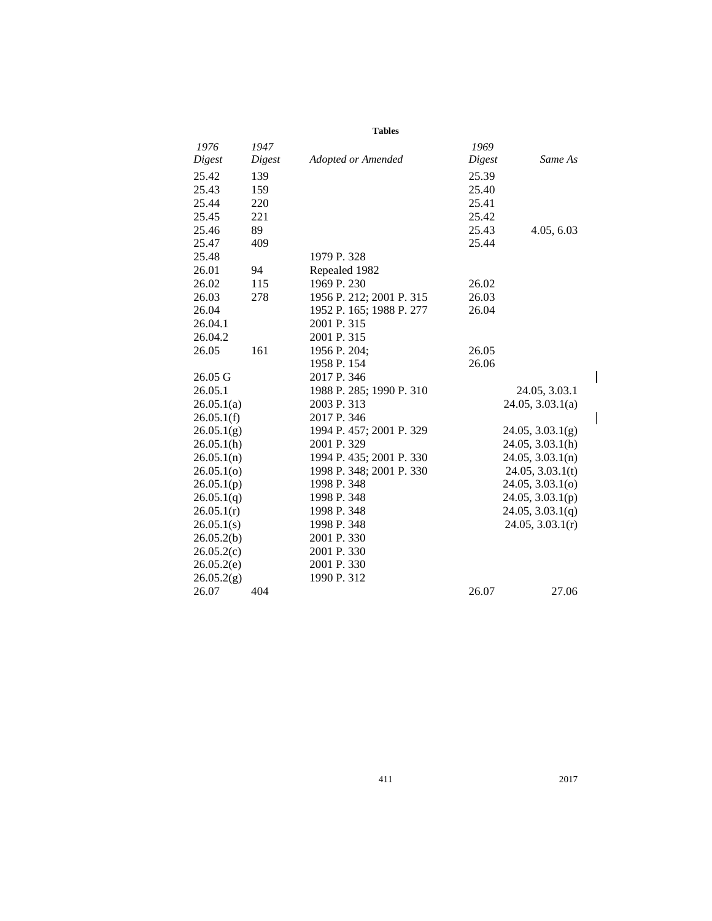|            |        | <b>Tables</b>            |        |                  |                          |
|------------|--------|--------------------------|--------|------------------|--------------------------|
| 1976       | 1947   |                          | 1969   |                  |                          |
| Digest     | Digest | Adopted or Amended       | Digest | Same As          |                          |
| 25.42      | 139    |                          | 25.39  |                  |                          |
| 25.43      | 159    |                          | 25.40  |                  |                          |
| 25.44      | 220    |                          | 25.41  |                  |                          |
| 25.45      | 221    |                          | 25.42  |                  |                          |
| 25.46      | 89     |                          | 25.43  | 4.05, 6.03       |                          |
| 25.47      | 409    |                          | 25.44  |                  |                          |
| 25.48      |        | 1979 P. 328              |        |                  |                          |
| 26.01      | 94     | Repealed 1982            |        |                  |                          |
| 26.02      | 115    | 1969 P. 230              | 26.02  |                  |                          |
| 26.03      | 278    | 1956 P. 212; 2001 P. 315 | 26.03  |                  |                          |
| 26.04      |        | 1952 P. 165; 1988 P. 277 | 26.04  |                  |                          |
| 26.04.1    |        | 2001 P. 315              |        |                  |                          |
| 26.04.2    |        | 2001 P. 315              |        |                  |                          |
| 26.05      | 161    | 1956 P. 204;             | 26.05  |                  |                          |
|            |        | 1958 P. 154              | 26.06  |                  |                          |
| 26.05 G    |        | 2017 P. 346              |        |                  | I                        |
| 26.05.1    |        | 1988 P. 285; 1990 P. 310 |        | 24.05, 3.03.1    |                          |
| 26.05.1(a) |        | 2003 P. 313              |        | 24.05, 3.03.1(a) |                          |
| 26.05.1(f) |        | 2017 P. 346              |        |                  | $\overline{\phantom{a}}$ |
| 26.05.1(g) |        | 1994 P. 457; 2001 P. 329 |        | 24.05, 3.03.1(g) |                          |
| 26.05.1(h) |        | 2001 P. 329              |        | 24.05, 3.03.1(h) |                          |
| 26.05.1(n) |        | 1994 P. 435; 2001 P. 330 |        | 24.05, 3.03.1(n) |                          |
| 26.05.1(0) |        | 1998 P. 348; 2001 P. 330 |        | 24.05, 3.03.1(t) |                          |
| 26.05.1(p) |        | 1998 P. 348              |        | 24.05, 3.03.1(o) |                          |
| 26.05.1(q) |        | 1998 P. 348              |        | 24.05, 3.03.1(p) |                          |
| 26.05.1(r) |        | 1998 P. 348              |        | 24.05, 3.03.1(q) |                          |
| 26.05.1(s) |        | 1998 P. 348              |        | 24.05, 3.03.1(r) |                          |
| 26.05.2(b) |        | 2001 P.330               |        |                  |                          |
| 26.05.2(c) |        | 2001 P.330               |        |                  |                          |
| 26.05.2(e) |        | 2001 P.330               |        |                  |                          |
| 26.05.2(g) |        | 1990 P. 312              |        |                  |                          |
| 26.07      | 404    |                          | 26.07  | 27.06            |                          |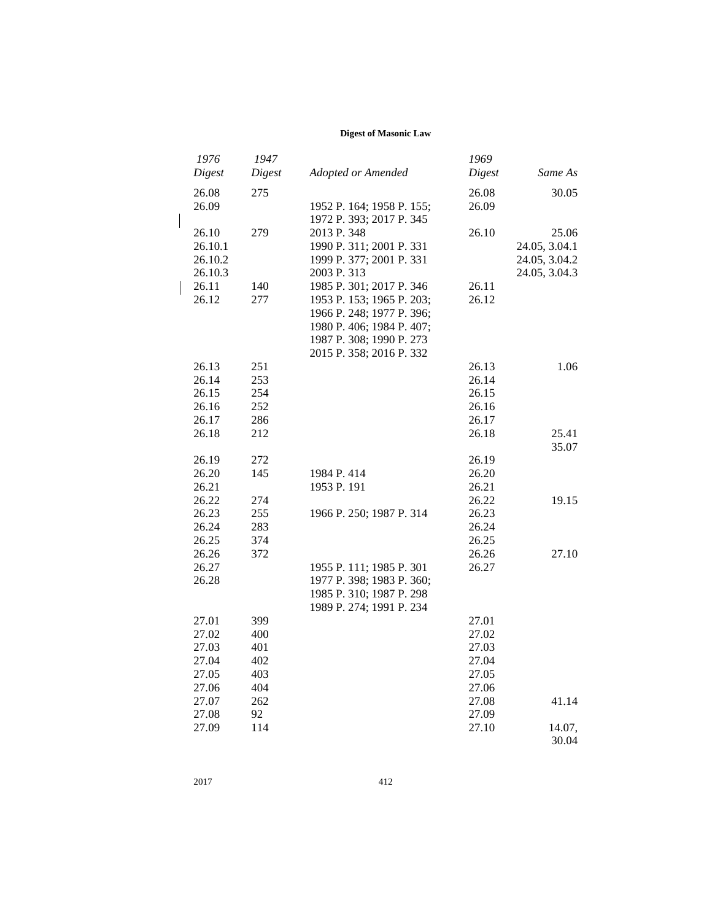|                          | 1976           | 1947       |                           | 1969           |               |
|--------------------------|----------------|------------|---------------------------|----------------|---------------|
|                          | Digest         | Digest     | Adopted or Amended        | Digest         | Same As       |
|                          | 26.08          | 275        |                           | 26.08          | 30.05         |
|                          | 26.09          |            | 1952 P. 164; 1958 P. 155; | 26.09          |               |
| $\overline{\phantom{a}}$ |                |            | 1972 P. 393; 2017 P. 345  |                |               |
|                          | 26.10          | 279        | 2013 P. 348               | 26.10          | 25.06         |
|                          | 26.10.1        |            | 1990 P. 311; 2001 P. 331  |                | 24.05, 3.04.1 |
|                          | 26.10.2        |            | 1999 P. 377; 2001 P. 331  |                | 24.05, 3.04.2 |
|                          | 26.10.3        |            | 2003 P. 313               |                | 24.05, 3.04.3 |
| $\overline{\phantom{a}}$ | 26.11          | 140        | 1985 P. 301; 2017 P. 346  | 26.11          |               |
|                          | 26.12          | 277        | 1953 P. 153; 1965 P. 203; | 26.12          |               |
|                          |                |            | 1966 P. 248; 1977 P. 396; |                |               |
|                          |                |            | 1980 P. 406; 1984 P. 407; |                |               |
|                          |                |            | 1987 P. 308; 1990 P. 273  |                |               |
|                          |                |            | 2015 P. 358; 2016 P. 332  |                |               |
|                          | 26.13          | 251        |                           | 26.13          | 1.06          |
|                          | 26.14          | 253        |                           | 26.14          |               |
|                          | 26.15          | 254        |                           | 26.15          |               |
|                          | 26.16          | 252        |                           | 26.16          |               |
|                          | 26.17          | 286        |                           | 26.17          |               |
|                          | 26.18          | 212        |                           | 26.18          | 25.41         |
|                          |                |            |                           |                | 35.07         |
|                          | 26.19          | 272        |                           | 26.19          |               |
|                          | 26.20          | 145        | 1984 P. 414               | 26.20          |               |
|                          | 26.21          |            | 1953 P. 191               | 26.21          |               |
|                          | 26.22          | 274        |                           | 26.22          | 19.15         |
|                          | 26.23          | 255<br>283 | 1966 P. 250; 1987 P. 314  | 26.23          |               |
|                          | 26.24<br>26.25 | 374        |                           | 26.24<br>26.25 |               |
|                          | 26.26          | 372        |                           | 26.26          | 27.10         |
|                          | 26.27          |            | 1955 P. 111; 1985 P. 301  | 26.27          |               |
|                          | 26.28          |            | 1977 P. 398; 1983 P. 360; |                |               |
|                          |                |            | 1985 P. 310; 1987 P. 298  |                |               |
|                          |                |            | 1989 P. 274; 1991 P. 234  |                |               |
|                          | 27.01          | 399        |                           | 27.01          |               |
|                          | 27.02          | 400        |                           | 27.02          |               |
|                          | 27.03          | 401        |                           | 27.03          |               |
|                          | 27.04          | 402        |                           | 27.04          |               |
|                          | 27.05          | 403        |                           | 27.05          |               |
|                          | 27.06          | 404        |                           | 27.06          |               |
|                          | 27.07          | 262        |                           | 27.08          | 41.14         |
|                          | 27.08          | 92         |                           | 27.09          |               |
|                          | 27.09          | 114        |                           | 27.10          | 14.07,        |
|                          |                |            |                           |                | 30.04         |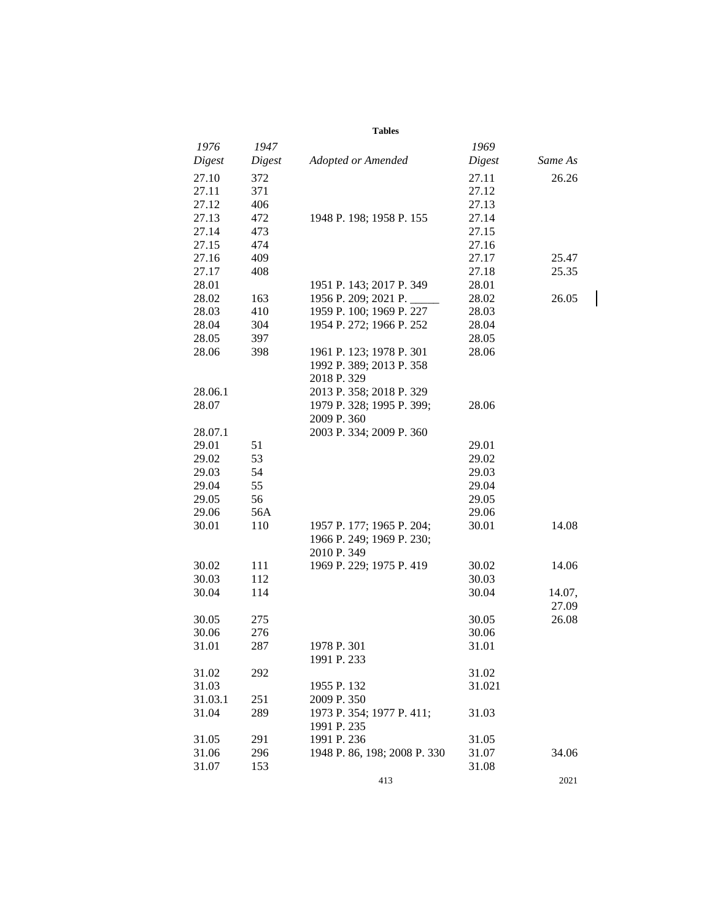|         |        | <b>Tables</b>                |        |         |
|---------|--------|------------------------------|--------|---------|
| 1976    | 1947   |                              | 1969   |         |
| Digest  | Digest | Adopted or Amended           | Digest | Same As |
| 27.10   | 372    |                              | 27.11  | 26.26   |
| 27.11   | 371    |                              | 27.12  |         |
| 27.12   | 406    |                              | 27.13  |         |
| 27.13   | 472    | 1948 P. 198; 1958 P. 155     | 27.14  |         |
| 27.14   | 473    |                              | 27.15  |         |
| 27.15   | 474    |                              | 27.16  |         |
| 27.16   | 409    |                              | 27.17  | 25.47   |
| 27.17   | 408    |                              | 27.18  | 25.35   |
| 28.01   |        | 1951 P. 143; 2017 P. 349     | 28.01  |         |
| 28.02   | 163    | 1956 P. 209; 2021 P.         | 28.02  | 26.05   |
| 28.03   | 410    | 1959 P. 100; 1969 P. 227     | 28.03  |         |
| 28.04   | 304    | 1954 P. 272; 1966 P. 252     | 28.04  |         |
| 28.05   | 397    |                              | 28.05  |         |
| 28.06   | 398    | 1961 P. 123; 1978 P. 301     | 28.06  |         |
|         |        | 1992 P. 389; 2013 P. 358     |        |         |
|         |        | 2018 P. 329                  |        |         |
| 28.06.1 |        | 2013 P. 358; 2018 P. 329     |        |         |
| 28.07   |        | 1979 P. 328; 1995 P. 399;    | 28.06  |         |
|         |        | 2009 P. 360                  |        |         |
| 28.07.1 |        | 2003 P. 334; 2009 P. 360     |        |         |
| 29.01   | 51     |                              | 29.01  |         |
| 29.02   | 53     |                              | 29.02  |         |
| 29.03   | 54     |                              | 29.03  |         |
| 29.04   | 55     |                              | 29.04  |         |
| 29.05   | 56     |                              | 29.05  |         |
| 29.06   | 56A    |                              | 29.06  |         |
| 30.01   | 110    | 1957 P. 177; 1965 P. 204;    | 30.01  | 14.08   |
|         |        | 1966 P. 249; 1969 P. 230;    |        |         |
|         |        | 2010 P. 349                  |        |         |
| 30.02   | 111    | 1969 P. 229; 1975 P. 419     | 30.02  | 14.06   |
| 30.03   | 112    |                              | 30.03  |         |
| 30.04   | 114    |                              | 30.04  | 14.07,  |
|         |        |                              |        | 27.09   |
| 30.05   | 275    |                              | 30.05  | 26.08   |
| 30.06   | 276    |                              | 30.06  |         |
| 31.01   | 287    | 1978 P. 301                  | 31.01  |         |
|         |        | 1991 P. 233                  |        |         |
| 31.02   | 292    |                              | 31.02  |         |
| 31.03   |        | 1955 P. 132                  | 31.021 |         |
| 31.03.1 | 251    | 2009 P.350                   |        |         |
| 31.04   | 289    | 1973 P. 354; 1977 P. 411;    | 31.03  |         |
|         |        | 1991 P. 235                  |        |         |
| 31.05   | 291    | 1991 P. 236                  | 31.05  |         |
| 31.06   | 296    | 1948 P. 86, 198; 2008 P. 330 | 31.07  | 34.06   |
| 31.07   | 153    |                              | 31.08  |         |
|         |        | 413                          |        | 2021    |

 $\overline{\phantom{a}}$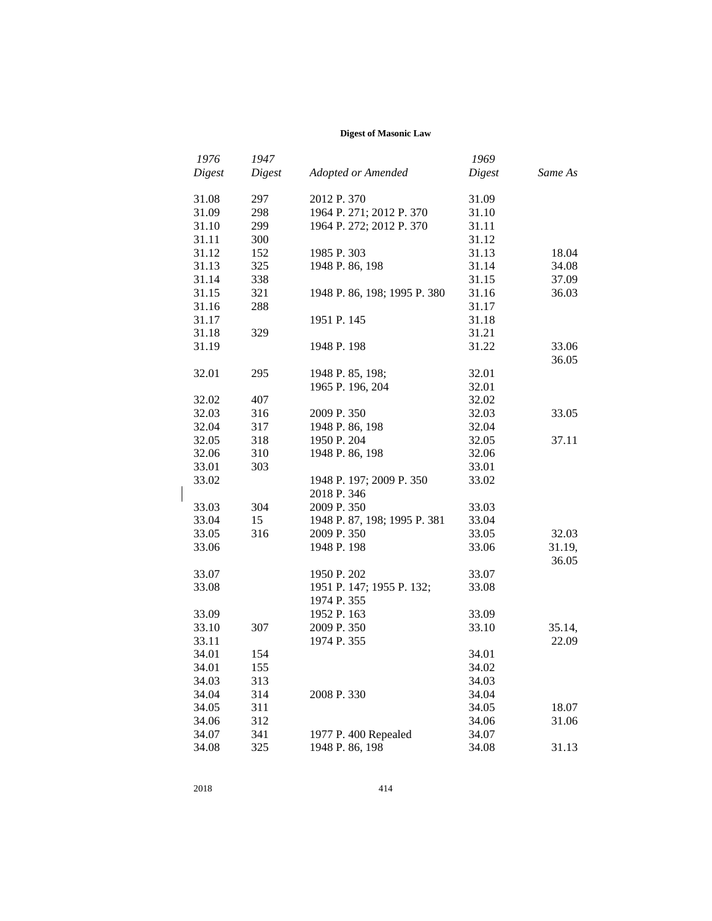| 1976   | 1947   |                              | 1969          |         |
|--------|--------|------------------------------|---------------|---------|
| Digest | Digest | Adopted or Amended           | <b>Digest</b> | Same As |
|        |        |                              |               |         |
| 31.08  | 297    | 2012 P. 370                  | 31.09         |         |
| 31.09  | 298    | 1964 P. 271; 2012 P. 370     | 31.10         |         |
| 31.10  | 299    | 1964 P. 272; 2012 P. 370     | 31.11         |         |
| 31.11  | 300    |                              | 31.12         |         |
| 31.12  | 152    | 1985 P. 303                  | 31.13         | 18.04   |
| 31.13  | 325    | 1948 P. 86, 198              | 31.14         | 34.08   |
| 31.14  | 338    |                              | 31.15         | 37.09   |
| 31.15  | 321    | 1948 P. 86, 198; 1995 P. 380 | 31.16         | 36.03   |
| 31.16  | 288    |                              | 31.17         |         |
| 31.17  |        | 1951 P. 145                  | 31.18         |         |
| 31.18  | 329    |                              | 31.21         |         |
| 31.19  |        | 1948 P. 198                  | 31.22         | 33.06   |
|        |        |                              |               | 36.05   |
| 32.01  | 295    | 1948 P. 85, 198;             | 32.01         |         |
|        |        | 1965 P. 196, 204             | 32.01         |         |
| 32.02  | 407    |                              | 32.02         |         |
| 32.03  | 316    | 2009 P. 350                  | 32.03         | 33.05   |
| 32.04  | 317    | 1948 P. 86, 198              | 32.04         |         |
| 32.05  | 318    | 1950 P. 204                  | 32.05         | 37.11   |
| 32.06  | 310    | 1948 P. 86, 198              | 32.06         |         |
| 33.01  | 303    |                              | 33.01         |         |
| 33.02  |        | 1948 P. 197; 2009 P. 350     | 33.02         |         |
|        |        | 2018 P. 346                  |               |         |
| 33.03  | 304    | 2009 P.350                   | 33.03         |         |
| 33.04  | 15     | 1948 P. 87, 198; 1995 P. 381 | 33.04         |         |
| 33.05  | 316    | 2009 P.350                   | 33.05         | 32.03   |
| 33.06  |        | 1948 P. 198                  | 33.06         | 31.19,  |
|        |        |                              |               | 36.05   |
| 33.07  |        | 1950 P. 202                  | 33.07         |         |
| 33.08  |        | 1951 P. 147; 1955 P. 132;    | 33.08         |         |
|        |        | 1974 P. 355                  |               |         |
| 33.09  |        | 1952 P. 163                  | 33.09         |         |
| 33.10  | 307    | 2009 P.350                   | 33.10         | 35.14,  |
| 33.11  |        | 1974 P. 355                  |               | 22.09   |
| 34.01  | 154    |                              | 34.01         |         |
| 34.01  | 155    |                              | 34.02         |         |
| 34.03  | 313    |                              | 34.03         |         |
| 34.04  | 314    | 2008 P.330                   | 34.04         |         |
| 34.05  | 311    |                              | 34.05         | 18.07   |
| 34.06  | 312    |                              | 34.06         | 31.06   |
| 34.07  | 341    | 1977 P. 400 Repealed         | 34.07         |         |
| 34.08  | 325    | 1948 P. 86, 198              | 34.08         | 31.13   |

 $\bigg\}$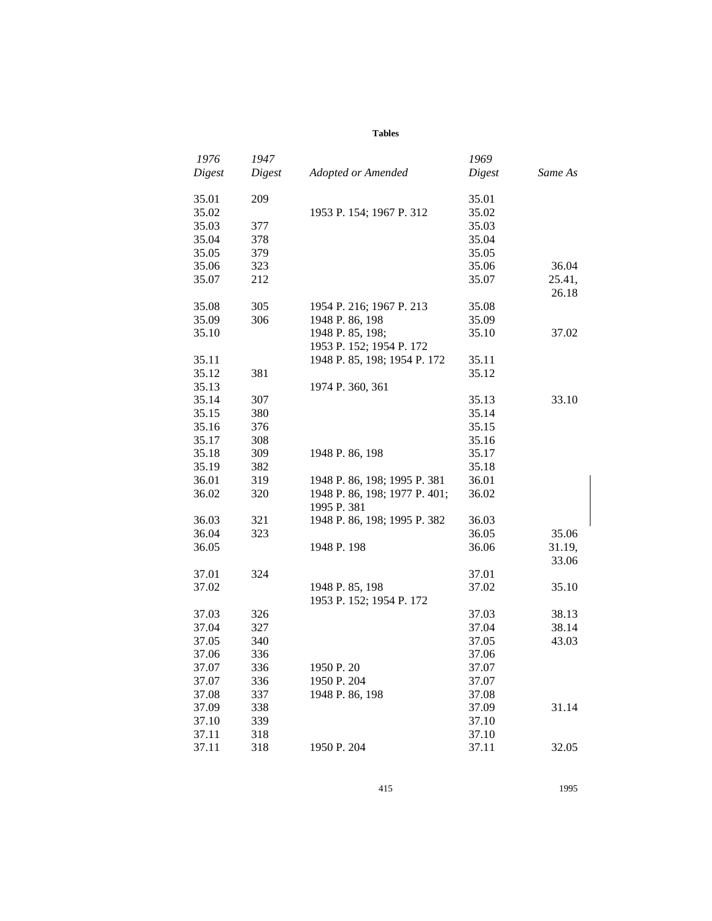| 1976   | 1947   |                               | 1969   |         |
|--------|--------|-------------------------------|--------|---------|
| Digest | Digest | Adopted or Amended            | Digest | Same As |
|        |        |                               |        |         |
| 35.01  | 209    |                               | 35.01  |         |
| 35.02  |        | 1953 P. 154; 1967 P. 312      | 35.02  |         |
| 35.03  | 377    |                               | 35.03  |         |
| 35.04  | 378    |                               | 35.04  |         |
| 35.05  | 379    |                               | 35.05  |         |
| 35.06  | 323    |                               | 35.06  | 36.04   |
| 35.07  | 212    |                               | 35.07  | 25.41,  |
|        |        |                               |        | 26.18   |
| 35.08  | 305    | 1954 P. 216; 1967 P. 213      | 35.08  |         |
| 35.09  | 306    | 1948 P. 86, 198               | 35.09  |         |
| 35.10  |        | 1948 P. 85, 198;              | 35.10  | 37.02   |
|        |        | 1953 P. 152; 1954 P. 172      |        |         |
| 35.11  |        | 1948 P. 85, 198; 1954 P. 172  | 35.11  |         |
| 35.12  | 381    |                               | 35.12  |         |
| 35.13  |        | 1974 P. 360, 361              |        |         |
| 35.14  | 307    |                               | 35.13  | 33.10   |
| 35.15  | 380    |                               | 35.14  |         |
| 35.16  | 376    |                               | 35.15  |         |
| 35.17  | 308    |                               | 35.16  |         |
| 35.18  | 309    | 1948 P. 86, 198               | 35.17  |         |
| 35.19  | 382    |                               | 35.18  |         |
| 36.01  | 319    | 1948 P. 86, 198; 1995 P. 381  | 36.01  |         |
| 36.02  | 320    | 1948 P. 86, 198; 1977 P. 401; | 36.02  |         |
|        |        | 1995 P. 381                   |        |         |
| 36.03  | 321    | 1948 P. 86, 198; 1995 P. 382  | 36.03  |         |
| 36.04  | 323    |                               | 36.05  | 35.06   |
| 36.05  |        | 1948 P. 198                   | 36.06  | 31.19,  |
|        |        |                               |        | 33.06   |
| 37.01  | 324    |                               | 37.01  |         |
| 37.02  |        | 1948 P. 85, 198               | 37.02  | 35.10   |
|        |        | 1953 P. 152; 1954 P. 172      |        |         |
| 37.03  | 326    |                               | 37.03  | 38.13   |
| 37.04  | 327    |                               | 37.04  | 38.14   |
| 37.05  | 340    |                               | 37.05  | 43.03   |
| 37.06  | 336    |                               | 37.06  |         |
| 37.07  | 336    | 1950 P. 20                    | 37.07  |         |
| 37.07  | 336    | 1950 P. 204                   | 37.07  |         |
| 37.08  | 337    | 1948 P. 86, 198               | 37.08  |         |
| 37.09  | 338    |                               | 37.09  | 31.14   |
| 37.10  | 339    |                               | 37.10  |         |
| 37.11  | 318    |                               | 37.10  |         |
| 37.11  | 318    | 1950 P. 204                   | 37.11  | 32.05   |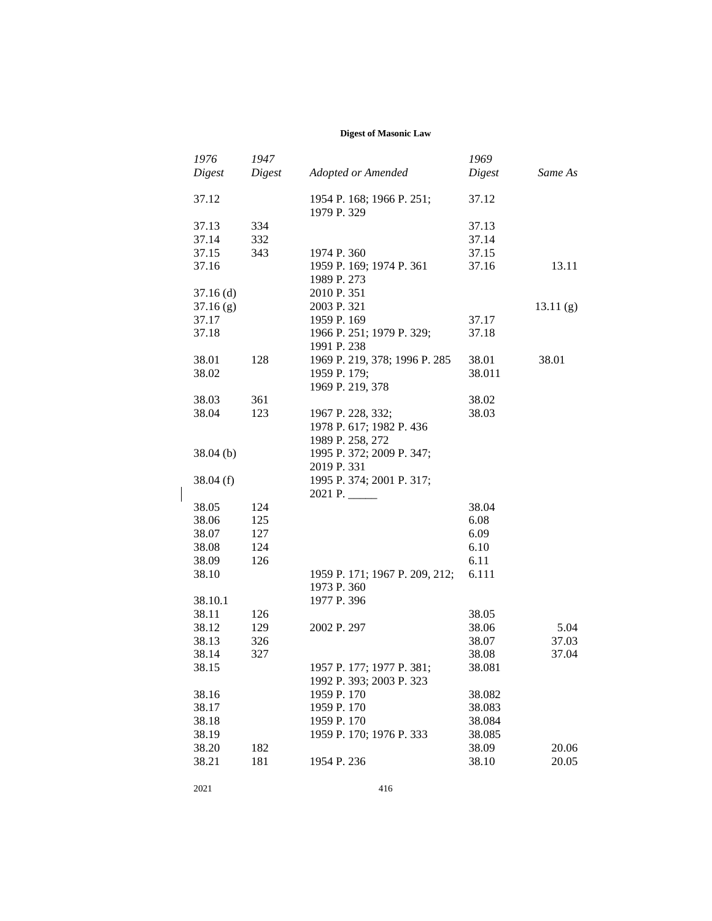| 1976           | 1947          |                                          | 1969           |                |
|----------------|---------------|------------------------------------------|----------------|----------------|
| Digest         | <b>Digest</b> | Adopted or Amended                       | <b>Digest</b>  | Same As        |
| 37.12          |               | 1954 P. 168; 1966 P. 251;<br>1979 P. 329 | 37.12          |                |
| 37.13          | 334           |                                          | 37.13          |                |
| 37.14          | 332           |                                          | 37.14          |                |
| 37.15          | 343           | 1974 P. 360                              | 37.15          |                |
| 37.16          |               | 1959 P. 169; 1974 P. 361                 | 37.16          | 13.11          |
|                |               | 1989 P. 273                              |                |                |
| $37.16$ (d)    |               | 2010 P. 351                              |                |                |
| 37.16(g)       |               | 2003 P. 321                              |                | 13.11(g)       |
| 37.17          |               | 1959 P. 169                              | 37.17          |                |
| 37.18          |               | 1966 P. 251; 1979 P. 329;                | 37.18          |                |
|                |               | 1991 P. 238                              |                |                |
| 38.01          | 128           | 1969 P. 219, 378; 1996 P. 285            | 38.01          | 38.01          |
| 38.02          |               | 1959 P. 179;                             | 38.011         |                |
|                |               | 1969 P. 219, 378                         |                |                |
| 38.03          | 361           |                                          | 38.02          |                |
| 38.04          | 123           | 1967 P. 228, 332;                        | 38.03          |                |
|                |               | 1978 P. 617; 1982 P. 436                 |                |                |
|                |               | 1989 P. 258, 272                         |                |                |
| $38.04$ (b)    |               | 1995 P. 372; 2009 P. 347;                |                |                |
|                |               | 2019 P. 331                              |                |                |
| 38.04(f)       |               | 1995 P. 374; 2001 P. 317;                |                |                |
|                |               | $2021$ P.                                |                |                |
| 38.05          | 124           |                                          | 38.04          |                |
| 38.06          | 125           |                                          | 6.08           |                |
| 38.07          | 127           |                                          | 6.09           |                |
| 38.08          | 124           |                                          | 6.10           |                |
| 38.09          | 126           |                                          | 6.11           |                |
| 38.10          |               | 1959 P. 171; 1967 P. 209, 212;           | 6.111          |                |
|                |               | 1973 P. 360                              |                |                |
| 38.10.1        |               | 1977 P. 396                              |                |                |
| 38.11          | 126           |                                          | 38.05          |                |
| 38.12          | 129           | 2002 P. 297                              | 38.06          | 5.04           |
| 38.13          | 326           |                                          | 38.07          | 37.03          |
| 38.14          | 327           |                                          | 38.08          | 37.04          |
| 38.15          |               | 1957 P. 177; 1977 P. 381;                | 38.081         |                |
|                |               | 1992 P. 393; 2003 P. 323                 |                |                |
| 38.16          |               | 1959 P. 170                              | 38.082         |                |
| 38.17          |               | 1959 P. 170                              | 38.083         |                |
| 38.18          |               | 1959 P. 170                              | 38.084         |                |
| 38.19          |               | 1959 P. 170; 1976 P. 333                 | 38.085         |                |
| 38.20<br>38.21 | 182<br>181    | 1954 P. 236                              | 38.09<br>38.10 | 20.06<br>20.05 |
|                |               |                                          |                |                |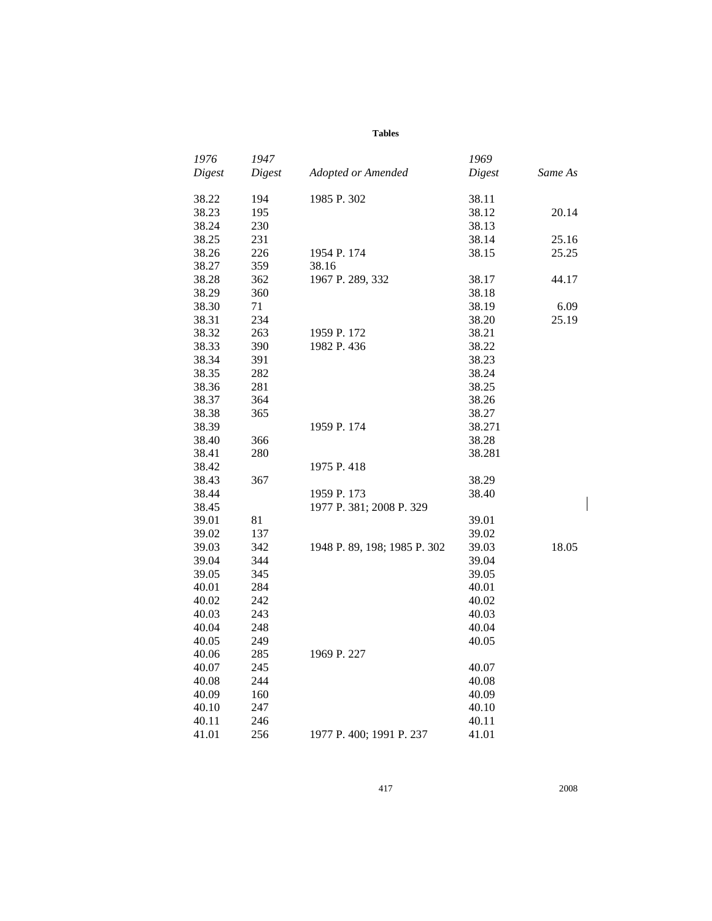| 1976   | 1947   |                              | 1969   |         |
|--------|--------|------------------------------|--------|---------|
| Digest | Digest | Adopted or Amended           | Digest | Same As |
|        |        |                              |        |         |
| 38.22  | 194    | 1985 P. 302                  | 38.11  |         |
| 38.23  | 195    |                              | 38.12  | 20.14   |
| 38.24  | 230    |                              | 38.13  |         |
| 38.25  | 231    |                              | 38.14  | 25.16   |
| 38.26  | 226    | 1954 P. 174                  | 38.15  | 25.25   |
| 38.27  | 359    | 38.16                        |        |         |
| 38.28  | 362    | 1967 P. 289, 332             | 38.17  | 44.17   |
| 38.29  | 360    |                              | 38.18  |         |
| 38.30  | 71     |                              | 38.19  | 6.09    |
| 38.31  | 234    |                              | 38.20  | 25.19   |
| 38.32  | 263    | 1959 P. 172                  | 38.21  |         |
| 38.33  | 390    | 1982 P. 436                  | 38.22  |         |
| 38.34  | 391    |                              | 38.23  |         |
| 38.35  | 282    |                              | 38.24  |         |
| 38.36  | 281    |                              | 38.25  |         |
| 38.37  | 364    |                              | 38.26  |         |
| 38.38  | 365    |                              | 38.27  |         |
| 38.39  |        | 1959 P. 174                  | 38.271 |         |
| 38.40  | 366    |                              | 38.28  |         |
| 38.41  | 280    |                              | 38.281 |         |
| 38.42  |        | 1975 P. 418                  |        |         |
| 38.43  | 367    |                              | 38.29  |         |
| 38.44  |        | 1959 P. 173                  | 38.40  |         |
| 38.45  |        | 1977 P. 381; 2008 P. 329     |        |         |
| 39.01  | 81     |                              | 39.01  |         |
| 39.02  | 137    |                              | 39.02  |         |
| 39.03  | 342    | 1948 P. 89, 198; 1985 P. 302 | 39.03  | 18.05   |
| 39.04  | 344    |                              | 39.04  |         |
| 39.05  | 345    |                              | 39.05  |         |
| 40.01  | 284    |                              | 40.01  |         |
| 40.02  | 242    |                              | 40.02  |         |
| 40.03  | 243    |                              | 40.03  |         |
| 40.04  | 248    |                              | 40.04  |         |
| 40.05  | 249    |                              | 40.05  |         |
| 40.06  | 285    | 1969 P. 227                  |        |         |
| 40.07  | 245    |                              | 40.07  |         |
| 40.08  | 244    |                              | 40.08  |         |
| 40.09  | 160    |                              | 40.09  |         |
| 40.10  | 247    |                              | 40.10  |         |
| 40.11  | 246    |                              | 40.11  |         |
| 41.01  | 256    | 1977 P. 400; 1991 P. 237     | 41.01  |         |
|        |        |                              |        |         |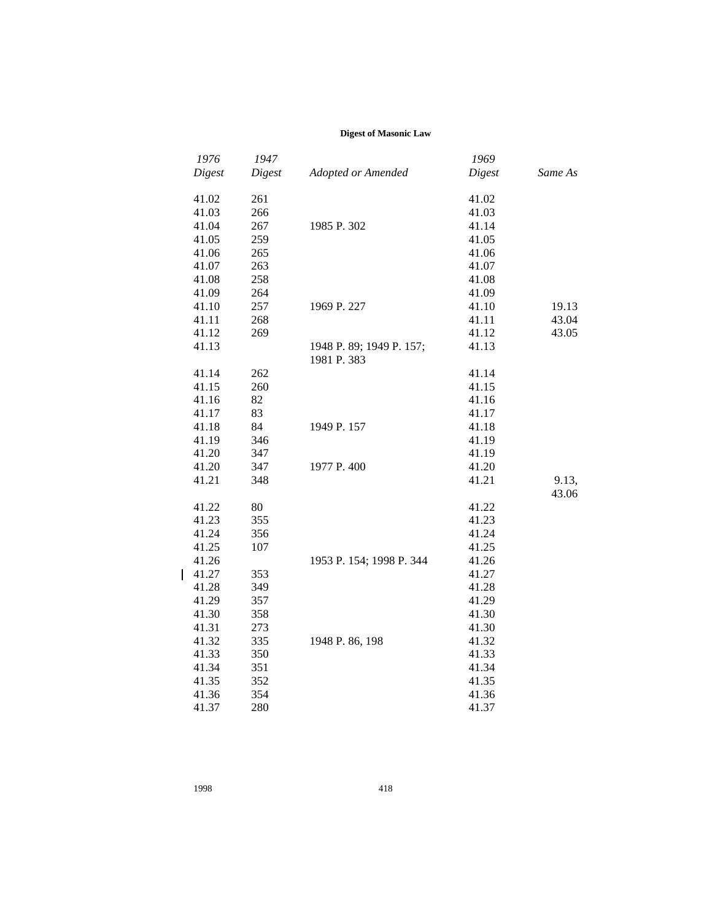|                          | 1976   | 1947   |                          | 1969   |         |
|--------------------------|--------|--------|--------------------------|--------|---------|
|                          | Digest | Digest | Adopted or Amended       | Digest | Same As |
|                          | 41.02  | 261    |                          | 41.02  |         |
|                          | 41.03  | 266    |                          | 41.03  |         |
|                          | 41.04  | 267    | 1985 P. 302              | 41.14  |         |
|                          | 41.05  | 259    |                          | 41.05  |         |
|                          | 41.06  | 265    |                          | 41.06  |         |
|                          | 41.07  | 263    |                          | 41.07  |         |
|                          | 41.08  | 258    |                          | 41.08  |         |
|                          | 41.09  | 264    |                          | 41.09  |         |
|                          | 41.10  | 257    | 1969 P. 227              | 41.10  | 19.13   |
|                          | 41.11  | 268    |                          | 41.11  | 43.04   |
|                          | 41.12  | 269    |                          | 41.12  | 43.05   |
|                          | 41.13  |        | 1948 P. 89; 1949 P. 157; |        |         |
|                          |        |        | 1981 P. 383              | 41.13  |         |
|                          | 41.14  | 262    |                          | 41.14  |         |
|                          | 41.15  | 260    |                          | 41.15  |         |
|                          | 41.16  | 82     |                          | 41.16  |         |
|                          | 41.17  | 83     |                          | 41.17  |         |
|                          | 41.18  | 84     | 1949 P. 157              | 41.18  |         |
|                          | 41.19  | 346    |                          | 41.19  |         |
|                          | 41.20  | 347    |                          | 41.19  |         |
|                          | 41.20  | 347    | 1977 P. 400              | 41.20  |         |
|                          | 41.21  | 348    |                          | 41.21  | 9.13,   |
|                          |        |        |                          |        | 43.06   |
|                          | 41.22  | 80     |                          | 41.22  |         |
|                          | 41.23  | 355    |                          | 41.23  |         |
|                          | 41.24  | 356    |                          | 41.24  |         |
|                          | 41.25  | 107    |                          | 41.25  |         |
|                          | 41.26  |        | 1953 P. 154; 1998 P. 344 | 41.26  |         |
| $\overline{\phantom{a}}$ | 41.27  | 353    |                          | 41.27  |         |
|                          | 41.28  | 349    |                          | 41.28  |         |
|                          | 41.29  | 357    |                          | 41.29  |         |
|                          | 41.30  | 358    |                          | 41.30  |         |
|                          | 41.31  | 273    |                          | 41.30  |         |
|                          | 41.32  | 335    | 1948 P. 86, 198          | 41.32  |         |
|                          | 41.33  | 350    |                          | 41.33  |         |
|                          | 41.34  | 351    |                          | 41.34  |         |
|                          | 41.35  | 352    |                          | 41.35  |         |
|                          | 41.36  | 354    |                          | 41.36  |         |
|                          | 41.37  | 280    |                          | 41.37  |         |
|                          |        |        |                          |        |         |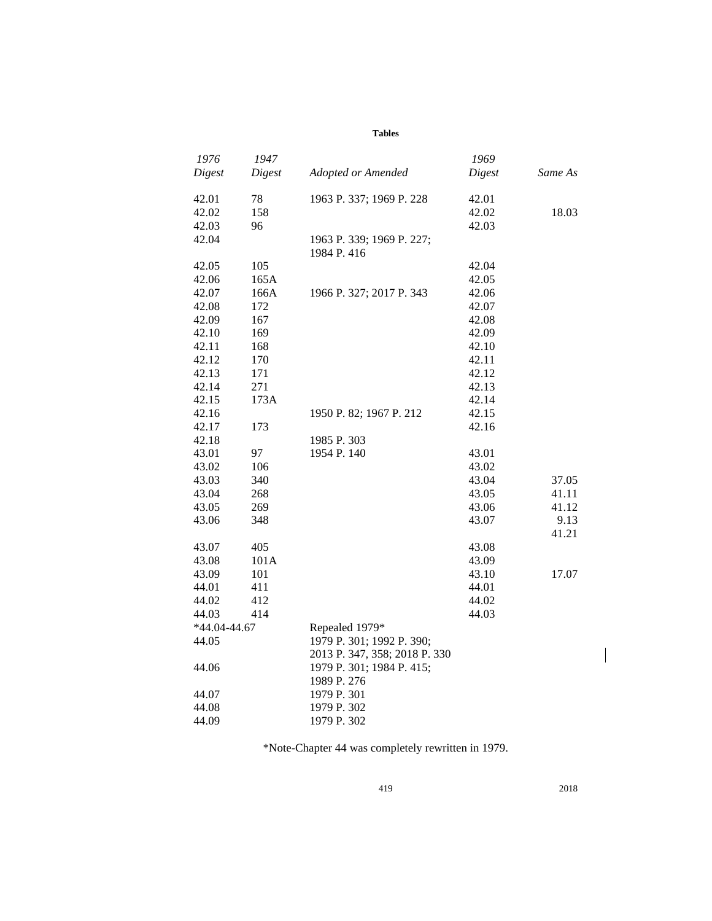| 1976                      | 1947   |                               | 1969   |         |
|---------------------------|--------|-------------------------------|--------|---------|
| Digest                    | Digest | Adopted or Amended            | Digest | Same As |
|                           |        |                               |        |         |
| 42.01                     | 78     | 1963 P. 337; 1969 P. 228      | 42.01  |         |
| 42.02                     | 158    |                               | 42.02  | 18.03   |
| 42.03                     | 96     |                               | 42.03  |         |
| 42.04                     |        | 1963 P. 339; 1969 P. 227;     |        |         |
|                           |        | 1984 P. 416                   |        |         |
| 42.05                     | 105    |                               | 42.04  |         |
| 42.06                     | 165A   |                               | 42.05  |         |
| 42.07                     | 166A   | 1966 P. 327; 2017 P. 343      | 42.06  |         |
| 42.08                     | 172    |                               | 42.07  |         |
| 42.09                     | 167    |                               | 42.08  |         |
| 42.10                     | 169    |                               | 42.09  |         |
| 42.11                     | 168    |                               | 42.10  |         |
| 42.12                     | 170    |                               | 42.11  |         |
| 42.13                     | 171    |                               | 42.12  |         |
| 42.14                     | 271    |                               | 42.13  |         |
| 42.15                     | 173A   |                               | 42.14  |         |
| 42.16                     |        | 1950 P. 82; 1967 P. 212       | 42.15  |         |
| 42.17                     | 173    |                               | 42.16  |         |
| 42.18                     |        | 1985 P. 303                   |        |         |
| 43.01                     | 97     | 1954 P. 140                   | 43.01  |         |
| 43.02                     | 106    |                               | 43.02  |         |
| 43.03                     | 340    |                               | 43.04  | 37.05   |
| 43.04                     | 268    |                               | 43.05  | 41.11   |
| 43.05                     | 269    |                               | 43.06  | 41.12   |
| 43.06                     | 348    |                               | 43.07  | 9.13    |
|                           |        |                               |        | 41.21   |
| 43.07                     | 405    |                               | 43.08  |         |
| 43.08                     | 101A   |                               | 43.09  |         |
| 43.09                     | 101    |                               | 43.10  | 17.07   |
| 44.01                     | 411    |                               | 44.01  |         |
| 44.02                     | 412    |                               | 44.02  |         |
|                           |        |                               |        |         |
| 44.03<br>$*44.04 - 44.67$ | 414    |                               | 44.03  |         |
| 44.05                     |        | Repealed 1979*                |        |         |
|                           |        | 1979 P. 301; 1992 P. 390;     |        |         |
|                           |        | 2013 P. 347, 358; 2018 P. 330 |        |         |
| 44.06                     |        | 1979 P. 301; 1984 P. 415;     |        |         |
|                           |        | 1989 P. 276                   |        |         |
| 44.07                     |        | 1979 P. 301                   |        |         |
| 44.08                     |        | 1979 P. 302                   |        |         |
| 44.09                     |        | 1979 P. 302                   |        |         |

\*Note-Chapter 44 was completely rewritten in 1979.

419 2018

 $\overline{\phantom{a}}$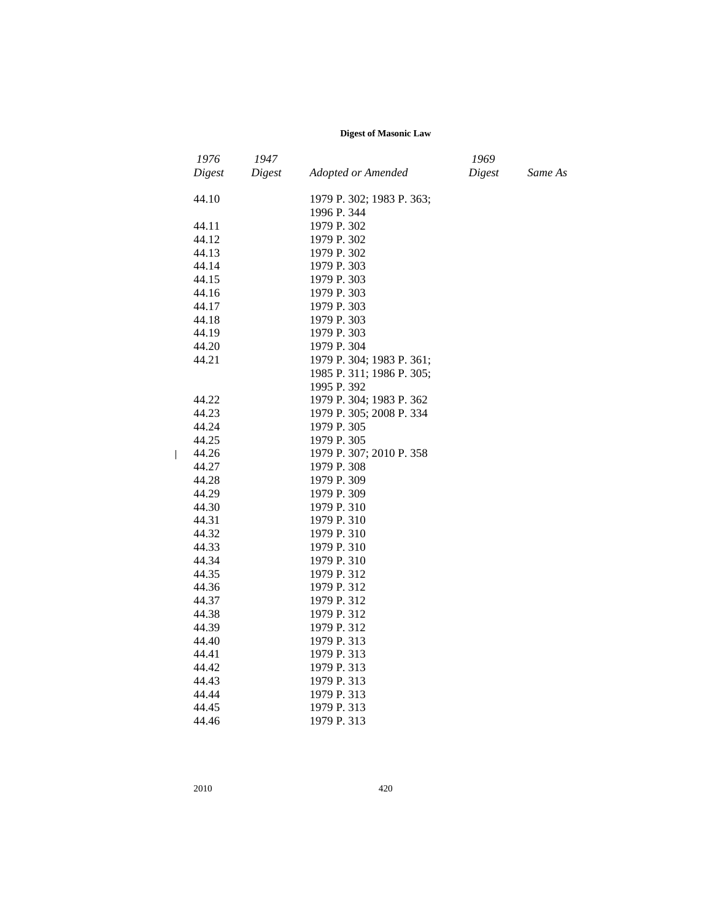*Digest Digest Adopted or Amended Digest Same As*

|              | 1976   | 1947   |                           | 1969   |
|--------------|--------|--------|---------------------------|--------|
|              | Digest | Digest | Adopted or Amended        | Digest |
|              |        |        |                           |        |
|              | 44.10  |        | 1979 P. 302; 1983 P. 363; |        |
|              |        |        | 1996 P. 344               |        |
|              | 44.11  |        | 1979 P. 302               |        |
|              | 44.12  |        | 1979 P. 302               |        |
|              | 44.13  |        | 1979 P. 302               |        |
|              | 44.14  |        | 1979 P. 303               |        |
|              | 44.15  |        | 1979 P. 303               |        |
|              | 44.16  |        | 1979 P. 303               |        |
|              | 44.17  |        | 1979 P. 303               |        |
|              | 44.18  |        | 1979 P. 303               |        |
|              | 44.19  |        | 1979 P. 303               |        |
|              | 44.20  |        | 1979 P. 304               |        |
|              | 44.21  |        | 1979 P. 304; 1983 P. 361; |        |
|              |        |        | 1985 P. 311; 1986 P. 305; |        |
|              |        |        | 1995 P. 392               |        |
|              | 44.22  |        | 1979 P. 304; 1983 P. 362  |        |
|              | 44.23  |        | 1979 P. 305; 2008 P. 334  |        |
|              | 44.24  |        | 1979 P. 305               |        |
|              | 44.25  |        | 1979 P. 305               |        |
| $\mathbf{I}$ | 44.26  |        | 1979 P. 307; 2010 P. 358  |        |
|              | 44.27  |        | 1979 P. 308               |        |
|              | 44.28  |        | 1979 P. 309               |        |
|              | 44.29  |        | 1979 P. 309               |        |
|              | 44.30  |        | 1979 P. 310               |        |
|              | 44.31  |        | 1979 P. 310               |        |
|              | 44.32  |        | 1979 P. 310               |        |
|              | 44.33  |        | 1979 P. 310               |        |
|              | 44.34  |        | 1979 P. 310               |        |
|              | 44.35  |        | 1979 P. 312               |        |
|              | 44.36  |        | 1979 P. 312               |        |
|              | 44.37  |        | 1979 P. 312               |        |
|              | 44.38  |        | 1979 P. 312               |        |
|              | 44.39  |        | 1979 P. 312               |        |
|              | 44.40  |        | 1979 P. 313               |        |
|              | 44.41  |        | 1979 P. 313               |        |
|              | 44.42  |        | 1979 P. 313               |        |
|              | 44.43  |        | 1979 P. 313               |        |
|              | 44.44  |        | 1979 P. 313               |        |
|              | 44.45  |        | 1979 P. 313               |        |
|              | 44.46  |        | 1979 P. 313               |        |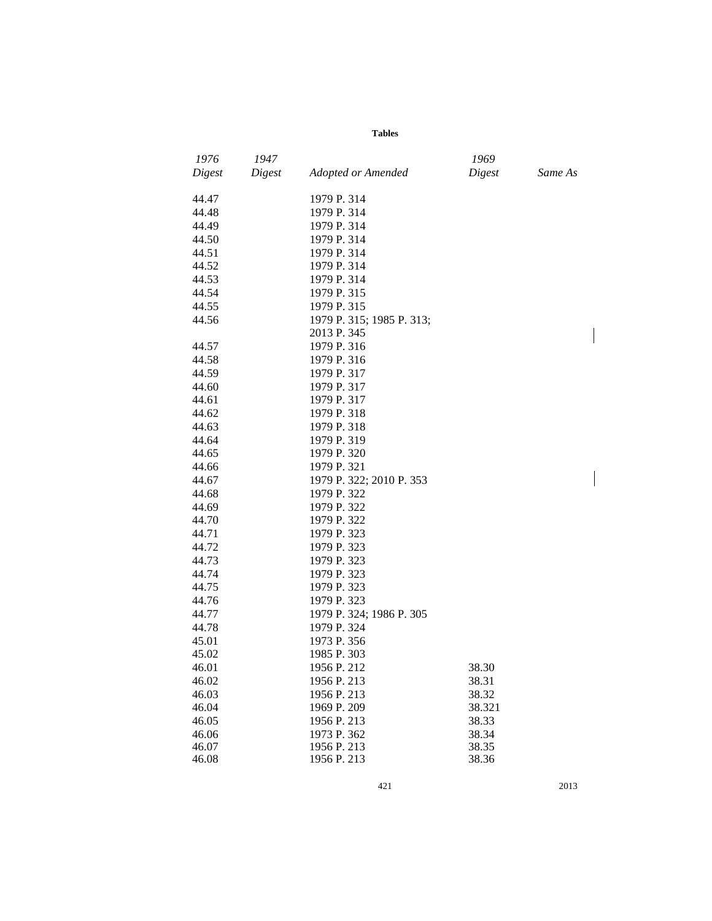| 1976   | 1947   |                           | 1969   |         |
|--------|--------|---------------------------|--------|---------|
| Digest | Digest | Adopted or Amended        | Digest | Same As |
|        |        |                           |        |         |
| 44.47  |        | 1979 P. 314               |        |         |
| 44.48  |        | 1979 P. 314               |        |         |
| 44.49  |        | 1979 P. 314               |        |         |
| 44.50  |        | 1979 P. 314               |        |         |
| 44.51  |        | 1979 P. 314               |        |         |
| 44.52  |        | 1979 P. 314               |        |         |
| 44.53  |        | 1979 P. 314               |        |         |
| 44.54  |        | 1979 P. 315               |        |         |
| 44.55  |        | 1979 P. 315               |        |         |
| 44.56  |        | 1979 P. 315; 1985 P. 313; |        |         |
|        |        | 2013 P. 345               |        |         |
| 44.57  |        | 1979 P. 316               |        |         |
| 44.58  |        | 1979 P. 316               |        |         |
| 44.59  |        | 1979 P. 317               |        |         |
| 44.60  |        | 1979 P. 317               |        |         |
| 44.61  |        | 1979 P. 317               |        |         |
| 44.62  |        | 1979 P. 318               |        |         |
| 44.63  |        | 1979 P. 318               |        |         |
| 44.64  |        | 1979 P. 319               |        |         |
| 44.65  |        | 1979 P. 320               |        |         |
| 44.66  |        | 1979 P. 321               |        |         |
| 44.67  |        | 1979 P. 322; 2010 P. 353  |        |         |
| 44.68  |        | 1979 P. 322               |        |         |
| 44.69  |        | 1979 P. 322               |        |         |
| 44.70  |        | 1979 P. 322               |        |         |
| 44.71  |        | 1979 P. 323               |        |         |
| 44.72  |        | 1979 P. 323               |        |         |
| 44.73  |        | 1979 P. 323               |        |         |
| 44.74  |        | 1979 P. 323               |        |         |
| 44.75  |        | 1979 P. 323               |        |         |
| 44.76  |        | 1979 P. 323               |        |         |
| 44.77  |        | 1979 P. 324; 1986 P. 305  |        |         |
| 44.78  |        | 1979 P. 324               |        |         |
| 45.01  |        | 1973 P. 356               |        |         |
| 45.02  |        | 1985 P. 303               |        |         |
| 46.01  |        | 1956 P. 212               | 38.30  |         |
| 46.02  |        | 1956 P. 213               | 38.31  |         |
| 46.03  |        | 1956 P. 213               | 38.32  |         |
| 46.04  |        | 1969 P. 209               | 38.321 |         |
| 46.05  |        | 1956 P. 213               | 38.33  |         |
| 46.06  |        | 1973 P. 362               | 38.34  |         |
| 46.07  |        | 1956 P. 213               | 38.35  |         |
| 46.08  |        | 1956 P. 213               | 38.36  |         |

 $\overline{\phantom{a}}$ 

 $\overline{\phantom{a}}$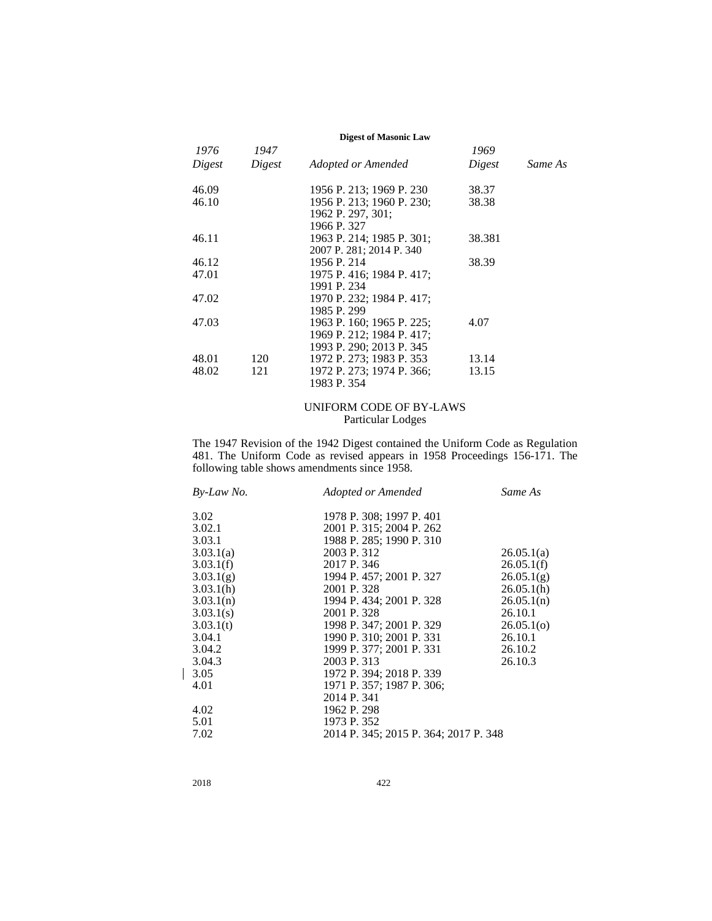|        |        | <b>Digest of Masonic Law</b>                                                       |        |         |
|--------|--------|------------------------------------------------------------------------------------|--------|---------|
| 1976   | 1947   |                                                                                    | 1969   |         |
| Digest | Digest | Adopted or Amended                                                                 | Digest | Same As |
| 46.09  |        | 1956 P. 213; 1969 P. 230                                                           | 38.37  |         |
| 46.10  |        | 1956 P. 213; 1960 P. 230;<br>1962 P. 297, 301;                                     | 38.38  |         |
| 46.11  |        | 1966 P. 327<br>1963 P. 214; 1985 P. 301;<br>2007 P. 281; 2014 P. 340               | 38.381 |         |
| 46.12  |        | 1956 P. 214                                                                        | 38.39  |         |
| 47.01  |        | 1975 P. 416; 1984 P. 417;<br>1991 P. 234                                           |        |         |
| 47.02  |        | 1970 P. 232; 1984 P. 417;<br>1985 P. 299                                           |        |         |
| 47.03  |        | 1963 P. 160; 1965 P. 225;<br>1969 P. 212; 1984 P. 417;<br>1993 P. 290; 2013 P. 345 | 4.07   |         |
| 48.01  | 120    | 1972 P. 273; 1983 P. 353                                                           | 13.14  |         |
| 48.02  | 121    | 1972 P. 273; 1974 P. 366;<br>1983 P. 354                                           | 13.15  |         |

## UNIFORM CODE OF BY-LAWS Particular Lodges

The 1947 Revision of the 1942 Digest contained the Uniform Code as Regulation 481. The Uniform Code as revised appears in 1958 Proceedings 156-171. The following table shows amendments since 1958.

| By-Law No. | Adopted or Amended                    | Same As    |
|------------|---------------------------------------|------------|
| 3.02       | 1978 P. 308; 1997 P. 401              |            |
| 3.02.1     | 2001 P. 315; 2004 P. 262              |            |
| 3.03.1     | 1988 P. 285; 1990 P. 310              |            |
| 3.03.1(a)  | 2003 P. 312                           | 26.05.1(a) |
| 3.03.1(f)  | 2017 P. 346                           | 26.05.1(f) |
| 3.03.1(g)  | 1994 P. 457; 2001 P. 327              | 26.05.1(g) |
| 3.03.1(h)  | 2001 P.328                            | 26.05.1(h) |
| 3.03.1(n)  | 1994 P. 434; 2001 P. 328              | 26.05.1(n) |
| 3.03.1(s)  | 2001 P.328                            | 26.10.1    |
| 3.03.1(t)  | 1998 P. 347; 2001 P. 329              | 26.05.1(0) |
| 3.04.1     | 1990 P. 310; 2001 P. 331              | 26.10.1    |
| 3.04.2     | 1999 P. 377; 2001 P. 331              | 26.10.2    |
| 3.04.3     | 2003 P. 313                           | 26.10.3    |
| 3.05       | 1972 P. 394; 2018 P. 339              |            |
| 4.01       | 1971 P. 357; 1987 P. 306;             |            |
|            | 2014 P. 341                           |            |
| 4.02       | 1962 P. 298                           |            |
| 5.01       | 1973 P. 352                           |            |
| 7.02       | 2014 P. 345; 2015 P. 364; 2017 P. 348 |            |
|            |                                       |            |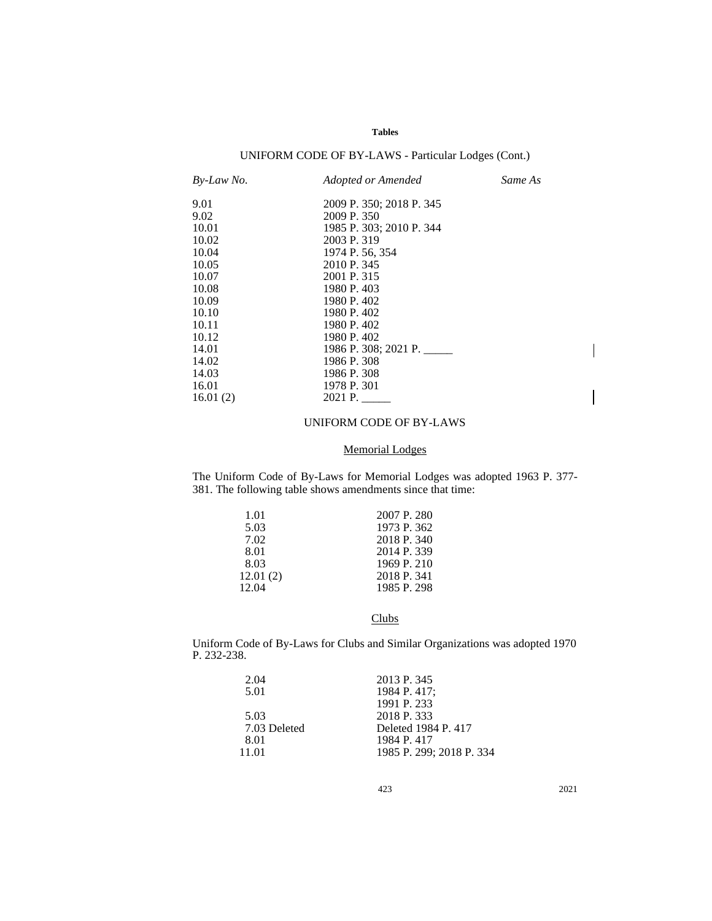# UNIFORM CODE OF BY-LAWS - Particular Lodges (Cont.)

*By-Law No. Adopted or Amended Same As*

 $\begin{array}{c} \rule{0pt}{2.5ex} \rule{0pt}{2.5ex} \rule{0pt}{2.5ex} \rule{0pt}{2.5ex} \rule{0pt}{2.5ex} \rule{0pt}{2.5ex} \rule{0pt}{2.5ex} \rule{0pt}{2.5ex} \rule{0pt}{2.5ex} \rule{0pt}{2.5ex} \rule{0pt}{2.5ex} \rule{0pt}{2.5ex} \rule{0pt}{2.5ex} \rule{0pt}{2.5ex} \rule{0pt}{2.5ex} \rule{0pt}{2.5ex} \rule{0pt}{2.5ex} \rule{0pt}{2.5ex} \rule{0pt}{2.5ex} \rule{0$ 

 $\overline{\phantom{a}}$ 

| By-Law No. | Adopted or Amended       |
|------------|--------------------------|
| 9.01       | 2009 P. 350; 2018 P. 345 |
| 9.02       | 2009 P. 350              |
| 10.01      | 1985 P. 303; 2010 P. 344 |
| 10.02      | 2003 P. 319              |
| 10.04      | 1974 P. 56, 354          |
| 10.05      | 2010 P. 345              |
| 10.07      | 2001 P. 315              |
| 10.08      | 1980 P.403               |
| 10.09      | 1980 P.402               |
| 10.10      | 1980 P.402               |
| 10.11      | 1980 P.402               |
| 10.12      | 1980 P.402               |
| 14.01      | 1986 P. 308; 2021 P.     |
| 14.02      | 1986 P. 308              |
| 14.03      | 1986 P. 308              |
| 16.01      | 1978 P. 301              |
| 16.01(2)   | 2021 P.                  |

# UNIFORM CODE OF BY-LAWS

# Memorial Lodges

The Uniform Code of By-Laws for Memorial Lodges was adopted 1963 P. 377- 381. The following table shows amendments since that time:

| 1.01     | 2007 P. 280 |
|----------|-------------|
| 5.03     | 1973 P. 362 |
| 7.02     | 2018 P. 340 |
| 8.01     | 2014 P. 339 |
| 8.03     | 1969 P. 210 |
| 12.01(2) | 2018 P. 341 |
| 12.04    | 1985 P. 298 |

**Clubs** 

Uniform Code of By-Laws for Clubs and Similar Organizations was adopted 1970 P. 232-238.

| 2013 P. 345              |
|--------------------------|
| 1984 P. 417:             |
| 1991 P. 233              |
| 2018 P. 333              |
| Deleted 1984 P. 417      |
| 1984 P.417               |
| 1985 P. 299; 2018 P. 334 |
|                          |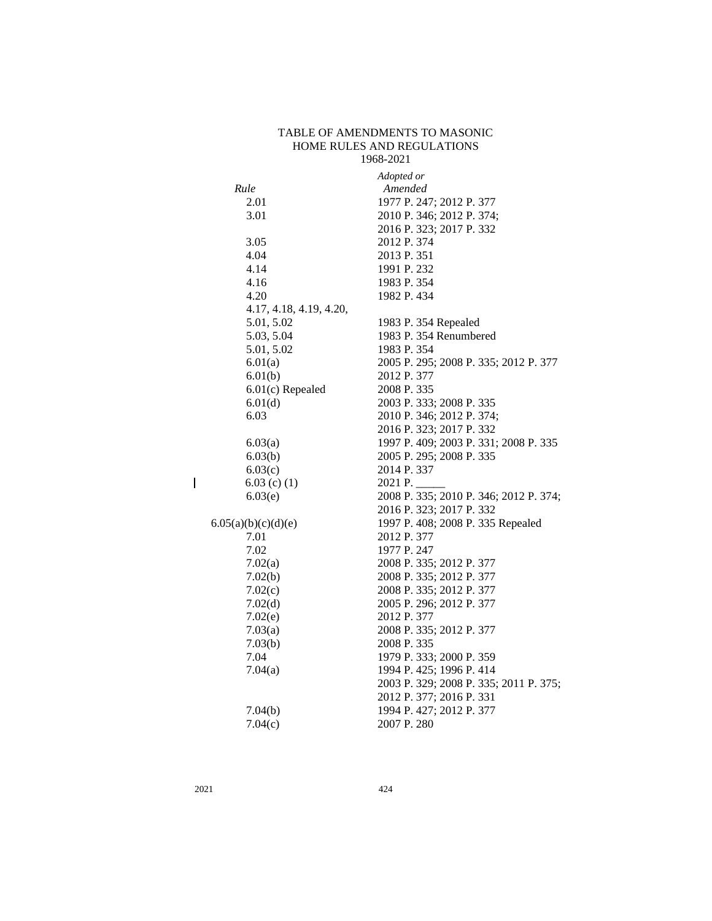|   |                             | TABLE OF AMENDMENTS TO MASONIC<br><b>HOME RULES AND REGULATIONS</b><br>1968-2021 |
|---|-----------------------------|----------------------------------------------------------------------------------|
|   |                             | Adopted or                                                                       |
|   | Rule                        | Amended                                                                          |
|   | 2.01                        | 1977 P. 247; 2012 P. 377                                                         |
|   | 3.01                        | 2010 P. 346; 2012 P. 374;                                                        |
|   |                             |                                                                                  |
|   |                             | 2016 P. 323; 2017 P. 332<br>2012 P. 374                                          |
|   | 3.05                        |                                                                                  |
|   | 4.04                        | 2013 P. 351                                                                      |
|   | 4.14                        | 1991 P. 232                                                                      |
|   | 4.16                        | 1983 P. 354                                                                      |
|   | 4.20                        | 1982 P. 434                                                                      |
|   | 4.17, 4.18, 4.19, 4.20,     |                                                                                  |
|   | 5.01, 5.02                  | 1983 P. 354 Repealed<br>1983 P. 354 Renumbered                                   |
|   | 5.03, 5.04                  |                                                                                  |
|   | 5.01, 5.02                  | 1983 P. 354                                                                      |
|   | 6.01(a)                     | 2005 P. 295; 2008 P. 335; 2012 P. 377                                            |
|   | 6.01(b)                     | 2012 P. 377                                                                      |
|   | $6.01(c)$ Repealed          | 2008 P. 335                                                                      |
|   | 6.01(d)                     | 2003 P. 333; 2008 P. 335                                                         |
|   | 6.03                        | 2010 P. 346; 2012 P. 374;                                                        |
|   |                             | 2016 P. 323; 2017 P. 332                                                         |
|   | 6.03(a)                     | 1997 P. 409; 2003 P. 331; 2008 P. 335                                            |
|   | 6.03(b)                     | 2005 P. 295; 2008 P. 335                                                         |
| I | 6.03(c)                     | 2014 P. 337                                                                      |
|   | $6.03$ (c) (1)              | 2021 P.<br>2008 P. 335; 2010 P. 346; 2012 P. 374;                                |
|   | 6.03(e)                     |                                                                                  |
|   |                             | 2016 P. 323; 2017 P. 332                                                         |
|   | 6.05(a)(b)(c)(d)(e)<br>7.01 | 1997 P. 408; 2008 P. 335 Repealed<br>2012 P. 377                                 |
|   |                             |                                                                                  |
|   | 7.02                        | 1977 P. 247<br>2008 P. 335; 2012 P. 377                                          |
|   | 7.02(a)<br>7.02(b)          | 2008 P. 335; 2012 P. 377                                                         |
|   |                             | 2008 P. 335; 2012 P. 377                                                         |
|   | 7.02(c)                     |                                                                                  |
|   | 7.02(d)<br>7.02(e)          | 2005 P. 296; 2012 P. 377<br>2012 P.377                                           |
|   |                             |                                                                                  |
|   | 7.03(a)<br>7.03(b)          | 2008 P. 335; 2012 P. 377                                                         |
|   | 7.04                        | 2008 P. 335<br>1979 P. 333; 2000 P. 359                                          |
|   |                             | 1994 P. 425; 1996 P. 414                                                         |
|   | 7.04(a)                     | 2003 P. 329; 2008 P. 335; 2011 P. 375;                                           |
|   |                             | 2012 P. 377; 2016 P. 331                                                         |
|   |                             | 1994 P. 427; 2012 P. 377                                                         |
|   | 7.04(b)<br>7.04(c)          | 2007 P. 280                                                                      |
|   |                             |                                                                                  |

 $\mathbb{R}^2$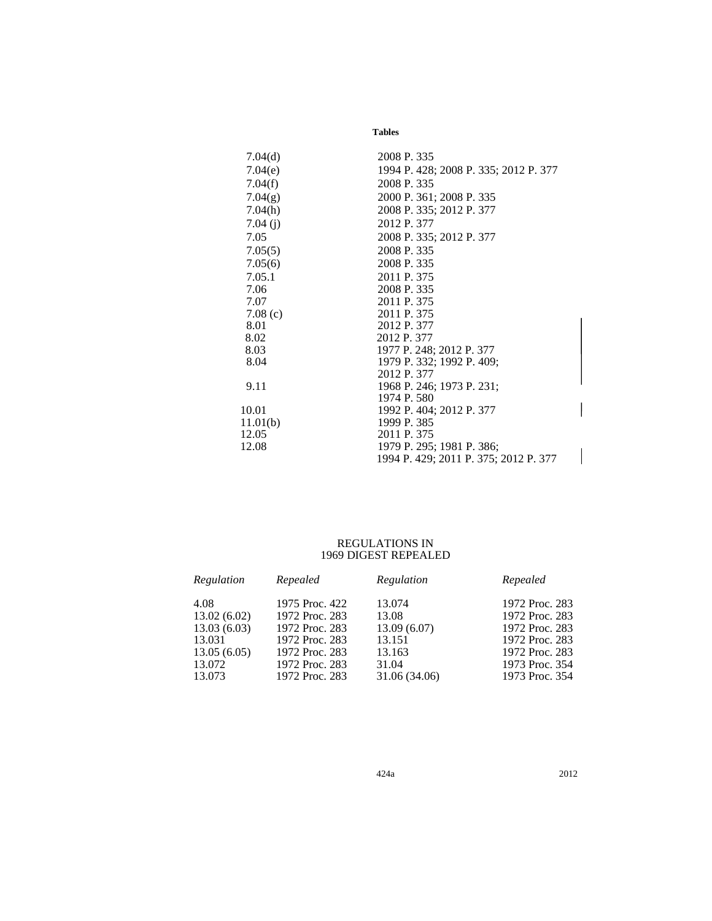| 2008 P. 335                           |                                                                                                 |
|---------------------------------------|-------------------------------------------------------------------------------------------------|
| 1994 P. 428; 2008 P. 335; 2012 P. 377 |                                                                                                 |
| 2008 P. 335                           |                                                                                                 |
|                                       |                                                                                                 |
|                                       |                                                                                                 |
| 2012 P. 377                           |                                                                                                 |
|                                       |                                                                                                 |
| 2008 P. 335                           |                                                                                                 |
| 2008 P. 335                           |                                                                                                 |
|                                       |                                                                                                 |
| 2008 P. 335                           |                                                                                                 |
| 2011 P. 375                           |                                                                                                 |
| 2011 P. 375                           |                                                                                                 |
| 2012 P. 377                           |                                                                                                 |
| 2012 P. 377                           |                                                                                                 |
| 1977 P. 248; 2012 P. 377              |                                                                                                 |
| 1979 P. 332; 1992 P. 409;             |                                                                                                 |
| 2012 P. 377                           |                                                                                                 |
| 1968 P. 246; 1973 P. 231;             |                                                                                                 |
| 1974 P. 580                           |                                                                                                 |
| 1992 P. 404; 2012 P. 377              |                                                                                                 |
| 1999 P. 385                           |                                                                                                 |
| 2011 P. 375                           |                                                                                                 |
| 1979 P. 295; 1981 P. 386;             |                                                                                                 |
| 1994 P. 429; 2011 P. 375; 2012 P. 377 |                                                                                                 |
|                                       | 2000 P. 361; 2008 P. 335<br>2008 P. 335; 2012 P. 377<br>2008 P. 335; 2012 P. 377<br>2011 P. 375 |

## REGULATIONS IN 1969 DIGEST REPEALED

| Regulation  | Repealed       | Regulation    | Repealed       |
|-------------|----------------|---------------|----------------|
|             |                |               |                |
| 4.08        | 1975 Proc. 422 | 13.074        | 1972 Proc. 283 |
| 13.02(6.02) | 1972 Proc. 283 | 13.08         | 1972 Proc. 283 |
| 13.03(6.03) | 1972 Proc. 283 | 13.09(6.07)   | 1972 Proc. 283 |
| 13.031      | 1972 Proc. 283 | 13.151        | 1972 Proc. 283 |
| 13.05(6.05) | 1972 Proc. 283 | 13.163        | 1972 Proc. 283 |
| 13.072      | 1972 Proc. 283 | 31.04         | 1973 Proc. 354 |
| 13.073      | 1972 Proc. 283 | 31.06 (34.06) | 1973 Proc. 354 |

424a 2012